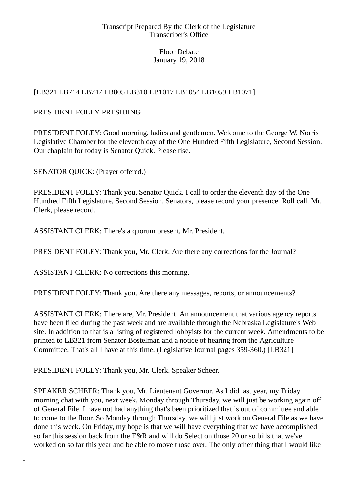# [LB321 LB714 LB747 LB805 LB810 LB1017 LB1054 LB1059 LB1071]

### PRESIDENT FOLEY PRESIDING

PRESIDENT FOLEY: Good morning, ladies and gentlemen. Welcome to the George W. Norris Legislative Chamber for the eleventh day of the One Hundred Fifth Legislature, Second Session. Our chaplain for today is Senator Quick. Please rise.

SENATOR QUICK: (Prayer offered.)

PRESIDENT FOLEY: Thank you, Senator Quick. I call to order the eleventh day of the One Hundred Fifth Legislature, Second Session. Senators, please record your presence. Roll call. Mr. Clerk, please record.

ASSISTANT CLERK: There's a quorum present, Mr. President.

PRESIDENT FOLEY: Thank you, Mr. Clerk. Are there any corrections for the Journal?

ASSISTANT CLERK: No corrections this morning.

PRESIDENT FOLEY: Thank you. Are there any messages, reports, or announcements?

ASSISTANT CLERK: There are, Mr. President. An announcement that various agency reports have been filed during the past week and are available through the Nebraska Legislature's Web site. In addition to that is a listing of registered lobbyists for the current week. Amendments to be printed to LB321 from Senator Bostelman and a notice of hearing from the Agriculture Committee. That's all I have at this time. (Legislative Journal pages 359-360.) [LB321]

PRESIDENT FOLEY: Thank you, Mr. Clerk. Speaker Scheer.

SPEAKER SCHEER: Thank you, Mr. Lieutenant Governor. As I did last year, my Friday morning chat with you, next week, Monday through Thursday, we will just be working again off of General File. I have not had anything that's been prioritized that is out of committee and able to come to the floor. So Monday through Thursday, we will just work on General File as we have done this week. On Friday, my hope is that we will have everything that we have accomplished so far this session back from the E&R and will do Select on those 20 or so bills that we've worked on so far this year and be able to move those over. The only other thing that I would like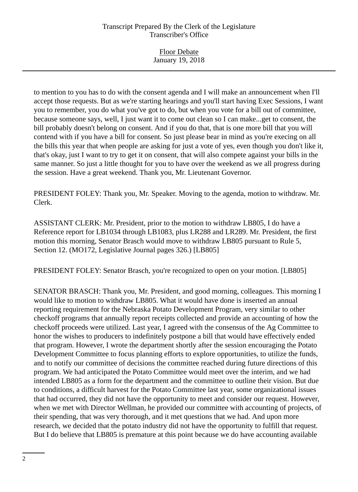| <b>Floor Debate</b> |
|---------------------|
| January 19, 2018    |

to mention to you has to do with the consent agenda and I will make an announcement when I'll accept those requests. But as we're starting hearings and you'll start having Exec Sessions, I want you to remember, you do what you've got to do, but when you vote for a bill out of committee, because someone says, well, I just want it to come out clean so I can make...get to consent, the bill probably doesn't belong on consent. And if you do that, that is one more bill that you will contend with if you have a bill for consent. So just please bear in mind as you're execing on all the bills this year that when people are asking for just a vote of yes, even though you don't like it, that's okay, just I want to try to get it on consent, that will also compete against your bills in the same manner. So just a little thought for you to have over the weekend as we all progress during the session. Have a great weekend. Thank you, Mr. Lieutenant Governor.

PRESIDENT FOLEY: Thank you, Mr. Speaker. Moving to the agenda, motion to withdraw. Mr. Clerk.

ASSISTANT CLERK: Mr. President, prior to the motion to withdraw LB805, I do have a Reference report for LB1034 through LB1083, plus LR288 and LR289. Mr. President, the first motion this morning, Senator Brasch would move to withdraw LB805 pursuant to Rule 5, Section 12. (MO172, Legislative Journal pages 326.) [LB805]

PRESIDENT FOLEY: Senator Brasch, you're recognized to open on your motion. [LB805]

SENATOR BRASCH: Thank you, Mr. President, and good morning, colleagues. This morning I would like to motion to withdraw LB805. What it would have done is inserted an annual reporting requirement for the Nebraska Potato Development Program, very similar to other checkoff programs that annually report receipts collected and provide an accounting of how the checkoff proceeds were utilized. Last year, I agreed with the consensus of the Ag Committee to honor the wishes to producers to indefinitely postpone a bill that would have effectively ended that program. However, I wrote the department shortly after the session encouraging the Potato Development Committee to focus planning efforts to explore opportunities, to utilize the funds, and to notify our committee of decisions the committee reached during future directions of this program. We had anticipated the Potato Committee would meet over the interim, and we had intended LB805 as a form for the department and the committee to outline their vision. But due to conditions, a difficult harvest for the Potato Committee last year, some organizational issues that had occurred, they did not have the opportunity to meet and consider our request. However, when we met with Director Wellman, he provided our committee with accounting of projects, of their spending, that was very thorough, and it met questions that we had. And upon more research, we decided that the potato industry did not have the opportunity to fulfill that request. But I do believe that LB805 is premature at this point because we do have accounting available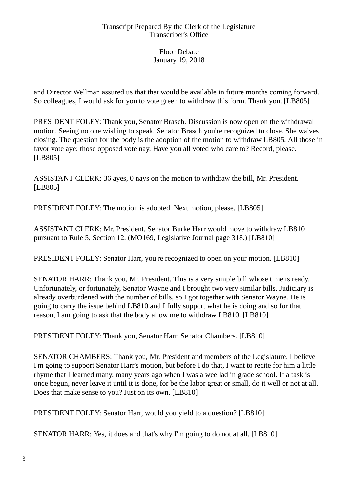and Director Wellman assured us that that would be available in future months coming forward. So colleagues, I would ask for you to vote green to withdraw this form. Thank you. [LB805]

PRESIDENT FOLEY: Thank you, Senator Brasch. Discussion is now open on the withdrawal motion. Seeing no one wishing to speak, Senator Brasch you're recognized to close. She waives closing. The question for the body is the adoption of the motion to withdraw LB805. All those in favor vote aye; those opposed vote nay. Have you all voted who care to? Record, please. [LB805]

ASSISTANT CLERK: 36 ayes, 0 nays on the motion to withdraw the bill, Mr. President. [LB805]

PRESIDENT FOLEY: The motion is adopted. Next motion, please. [LB805]

ASSISTANT CLERK: Mr. President, Senator Burke Harr would move to withdraw LB810 pursuant to Rule 5, Section 12. (MO169, Legislative Journal page 318.) [LB810]

PRESIDENT FOLEY: Senator Harr, you're recognized to open on your motion. [LB810]

SENATOR HARR: Thank you, Mr. President. This is a very simple bill whose time is ready. Unfortunately, or fortunately, Senator Wayne and I brought two very similar bills. Judiciary is already overburdened with the number of bills, so I got together with Senator Wayne. He is going to carry the issue behind LB810 and I fully support what he is doing and so for that reason, I am going to ask that the body allow me to withdraw LB810. [LB810]

PRESIDENT FOLEY: Thank you, Senator Harr. Senator Chambers. [LB810]

SENATOR CHAMBERS: Thank you, Mr. President and members of the Legislature. I believe I'm going to support Senator Harr's motion, but before I do that, I want to recite for him a little rhyme that I learned many, many years ago when I was a wee lad in grade school. If a task is once begun, never leave it until it is done, for be the labor great or small, do it well or not at all. Does that make sense to you? Just on its own. [LB810]

PRESIDENT FOLEY: Senator Harr, would you yield to a question? [LB810]

SENATOR HARR: Yes, it does and that's why I'm going to do not at all. [LB810]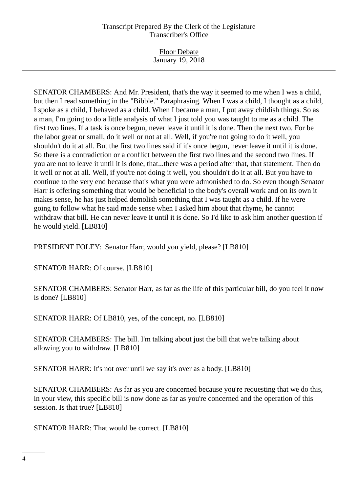Floor Debate January 19, 2018

SENATOR CHAMBERS: And Mr. President, that's the way it seemed to me when I was a child, but then I read something in the "Bibble." Paraphrasing. When I was a child, I thought as a child, I spoke as a child, I behaved as a child. When I became a man, I put away childish things. So as a man, I'm going to do a little analysis of what I just told you was taught to me as a child. The first two lines. If a task is once begun, never leave it until it is done. Then the next two. For be the labor great or small, do it well or not at all. Well, if you're not going to do it well, you shouldn't do it at all. But the first two lines said if it's once begun, never leave it until it is done. So there is a contradiction or a conflict between the first two lines and the second two lines. If you are not to leave it until it is done, that...there was a period after that, that statement. Then do it well or not at all. Well, if you're not doing it well, you shouldn't do it at all. But you have to continue to the very end because that's what you were admonished to do. So even though Senator Harr is offering something that would be beneficial to the body's overall work and on its own it makes sense, he has just helped demolish something that I was taught as a child. If he were going to follow what he said made sense when I asked him about that rhyme, he cannot withdraw that bill. He can never leave it until it is done. So I'd like to ask him another question if he would yield. [LB810]

PRESIDENT FOLEY: Senator Harr, would you yield, please? [LB810]

SENATOR HARR: Of course. [LB810]

SENATOR CHAMBERS: Senator Harr, as far as the life of this particular bill, do you feel it now is done? [LB810]

SENATOR HARR: Of LB810, yes, of the concept, no. [LB810]

SENATOR CHAMBERS: The bill. I'm talking about just the bill that we're talking about allowing you to withdraw. [LB810]

SENATOR HARR: It's not over until we say it's over as a body. [LB810]

SENATOR CHAMBERS: As far as you are concerned because you're requesting that we do this, in your view, this specific bill is now done as far as you're concerned and the operation of this session. Is that true? [LB810]

SENATOR HARR: That would be correct. [LB810]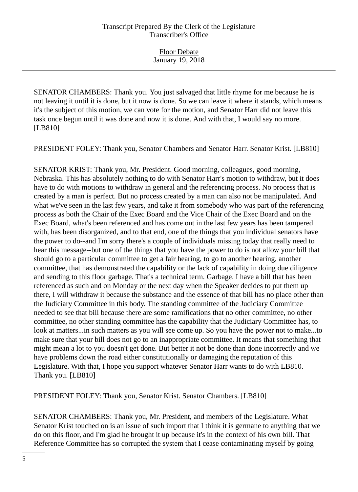SENATOR CHAMBERS: Thank you. You just salvaged that little rhyme for me because he is not leaving it until it is done, but it now is done. So we can leave it where it stands, which means it's the subject of this motion, we can vote for the motion, and Senator Harr did not leave this task once begun until it was done and now it is done. And with that, I would say no more. [LB810]

PRESIDENT FOLEY: Thank you, Senator Chambers and Senator Harr. Senator Krist. [LB810]

SENATOR KRIST: Thank you, Mr. President. Good morning, colleagues, good morning, Nebraska. This has absolutely nothing to do with Senator Harr's motion to withdraw, but it does have to do with motions to withdraw in general and the referencing process. No process that is created by a man is perfect. But no process created by a man can also not be manipulated. And what we've seen in the last few years, and take it from somebody who was part of the referencing process as both the Chair of the Exec Board and the Vice Chair of the Exec Board and on the Exec Board, what's been referenced and has come out in the last few years has been tampered with, has been disorganized, and to that end, one of the things that you individual senators have the power to do--and I'm sorry there's a couple of individuals missing today that really need to hear this message--but one of the things that you have the power to do is not allow your bill that should go to a particular committee to get a fair hearing, to go to another hearing, another committee, that has demonstrated the capability or the lack of capability in doing due diligence and sending to this floor garbage. That's a technical term. Garbage. I have a bill that has been referenced as such and on Monday or the next day when the Speaker decides to put them up there, I will withdraw it because the substance and the essence of that bill has no place other than the Judiciary Committee in this body. The standing committee of the Judiciary Committee needed to see that bill because there are some ramifications that no other committee, no other committee, no other standing committee has the capability that the Judiciary Committee has, to look at matters...in such matters as you will see come up. So you have the power not to make...to make sure that your bill does not go to an inappropriate committee. It means that something that might mean a lot to you doesn't get done. But better it not be done than done incorrectly and we have problems down the road either constitutionally or damaging the reputation of this Legislature. With that, I hope you support whatever Senator Harr wants to do with LB810. Thank you. [LB810]

PRESIDENT FOLEY: Thank you, Senator Krist. Senator Chambers. [LB810]

SENATOR CHAMBERS: Thank you, Mr. President, and members of the Legislature. What Senator Krist touched on is an issue of such import that I think it is germane to anything that we do on this floor, and I'm glad he brought it up because it's in the context of his own bill. That Reference Committee has so corrupted the system that I cease contaminating myself by going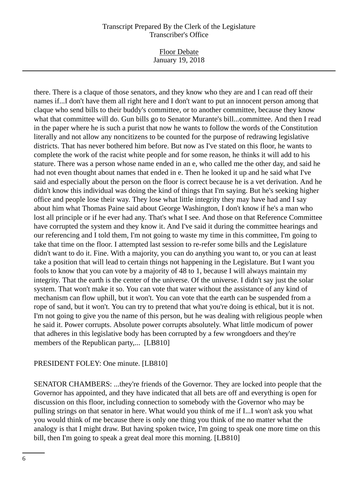Floor Debate January 19, 2018

there. There is a claque of those senators, and they know who they are and I can read off their names if...I don't have them all right here and I don't want to put an innocent person among that claque who send bills to their buddy's committee, or to another committee, because they know what that committee will do. Gun bills go to Senator Murante's bill...committee. And then I read in the paper where he is such a purist that now he wants to follow the words of the Constitution literally and not allow any noncitizens to be counted for the purpose of redrawing legislative districts. That has never bothered him before. But now as I've stated on this floor, he wants to complete the work of the racist white people and for some reason, he thinks it will add to his stature. There was a person whose name ended in an e, who called me the other day, and said he had not even thought about names that ended in e. Then he looked it up and he said what I've said and especially about the person on the floor is correct because he is a vet derivation. And he didn't know this individual was doing the kind of things that I'm saying. But he's seeking higher office and people lose their way. They lose what little integrity they may have had and I say about him what Thomas Paine said about George Washington, I don't know if he's a man who lost all principle or if he ever had any. That's what I see. And those on that Reference Committee have corrupted the system and they know it. And I've said it during the committee hearings and our referencing and I told them, I'm not going to waste my time in this committee, I'm going to take that time on the floor. I attempted last session to re-refer some bills and the Legislature didn't want to do it. Fine. With a majority, you can do anything you want to, or you can at least take a position that will lead to certain things not happening in the Legislature. But I want you fools to know that you can vote by a majority of 48 to 1, because I will always maintain my integrity. That the earth is the center of the universe. Of the universe. I didn't say just the solar system. That won't make it so. You can vote that water without the assistance of any kind of mechanism can flow uphill, but it won't. You can vote that the earth can be suspended from a rope of sand, but it won't. You can try to pretend that what you're doing is ethical, but it is not. I'm not going to give you the name of this person, but he was dealing with religious people when he said it. Power corrupts. Absolute power corrupts absolutely. What little modicum of power that adheres in this legislative body has been corrupted by a few wrongdoers and they're members of the Republican party,... [LB810]

#### PRESIDENT FOLEY: One minute. [LB810]

SENATOR CHAMBERS: ...they're friends of the Governor. They are locked into people that the Governor has appointed, and they have indicated that all bets are off and everything is open for discussion on this floor, including connection to somebody with the Governor who may be pulling strings on that senator in here. What would you think of me if I...I won't ask you what you would think of me because there is only one thing you think of me no matter what the analogy is that I might draw. But having spoken twice, I'm going to speak one more time on this bill, then I'm going to speak a great deal more this morning. [LB810]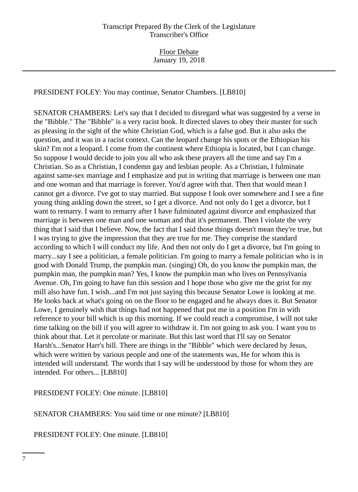PRESIDENT FOLEY: You may continue, Senator Chambers. [LB810]

SENATOR CHAMBERS: Let's say that I decided to disregard what was suggested by a verse in the "Bibble." The "Bibble" is a very racist book. It directed slaves to obey their master for such as pleasing in the sight of the white Christian God, which is a false god. But it also asks the question, and it was in a racist context. Can the leopard change his spots or the Ethiopian his skin? I'm not a leopard. I come from the continent where Ethiopia is located, but I can change. So suppose I would decide to join you all who ask these prayers all the time and say I'm a Christian. So as a Christian, I condemn gay and lesbian people. As a Christian, I fulminate against same-sex marriage and I emphasize and put in writing that marriage is between one man and one woman and that marriage is forever. You'd agree with that. Then that would mean I cannot get a divorce. I've got to stay married. But suppose I look over somewhere and I see a fine young thing ankling down the street, so I get a divorce. And not only do I get a divorce, but I want to remarry. I want to remarry after I have fulminated against divorce and emphasized that marriage is between one man and one woman and that it's permanent. Then I violate the very thing that I said that I believe. Now, the fact that I said those things doesn't mean they're true, but I was trying to give the impression that they are true for me. They comprise the standard according to which I will conduct my life. And then not only do I get a divorce, but I'm going to marry...say I see a politician, a female politician. I'm going to marry a female politician who is in good with Donald Trump, the pumpkin man. (singing) Oh, do you know the pumpkin man, the pumpkin man, the pumpkin man? Yes, I know the pumpkin man who lives on Pennsylvania Avenue. Oh, I'm going to have fun this session and I hope those who give me the grist for my mill also have fun. I wish...and I'm not just saying this because Senator Lowe is looking at me. He looks back at what's going on on the floor to be engaged and he always does it. But Senator Lowe, I genuinely wish that things had not happened that put me in a position I'm in with reference to your bill which is up this morning. If we could reach a compromise, I will not take time talking on the bill if you will agree to withdraw it. I'm not going to ask you. I want you to think about that. Let it percolate or marinate. But this last word that I'll say on Senator Harsh's...Senator Harr's bill. There are things in the "Bibble" which were declared by Jesus, which were written by various people and one of the statements was, He for whom this is intended will understand. The words that I say will be understood by those for whom they are intended. For others... [LB810]

PRESIDENT FOLEY: One minute. [LB810]

SENATOR CHAMBERS: You said time or one minute? [LB810]

PRESIDENT FOLEY: One minute. [LB810]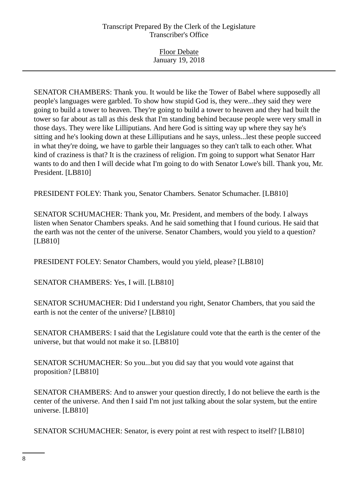Floor Debate January 19, 2018

SENATOR CHAMBERS: Thank you. It would be like the Tower of Babel where supposedly all people's languages were garbled. To show how stupid God is, they were...they said they were going to build a tower to heaven. They're going to build a tower to heaven and they had built the tower so far about as tall as this desk that I'm standing behind because people were very small in those days. They were like Lilliputians. And here God is sitting way up where they say he's sitting and he's looking down at these Lilliputians and he says, unless...lest these people succeed in what they're doing, we have to garble their languages so they can't talk to each other. What kind of craziness is that? It is the craziness of religion. I'm going to support what Senator Harr wants to do and then I will decide what I'm going to do with Senator Lowe's bill. Thank you, Mr. President. [LB810]

PRESIDENT FOLEY: Thank you, Senator Chambers. Senator Schumacher. [LB810]

SENATOR SCHUMACHER: Thank you, Mr. President, and members of the body. I always listen when Senator Chambers speaks. And he said something that I found curious. He said that the earth was not the center of the universe. Senator Chambers, would you yield to a question? [LB810]

PRESIDENT FOLEY: Senator Chambers, would you yield, please? [LB810]

SENATOR CHAMBERS: Yes, I will. [LB810]

SENATOR SCHUMACHER: Did I understand you right, Senator Chambers, that you said the earth is not the center of the universe? [LB810]

SENATOR CHAMBERS: I said that the Legislature could vote that the earth is the center of the universe, but that would not make it so. [LB810]

SENATOR SCHUMACHER: So you...but you did say that you would vote against that proposition? [LB810]

SENATOR CHAMBERS: And to answer your question directly, I do not believe the earth is the center of the universe. And then I said I'm not just talking about the solar system, but the entire universe. [LB810]

SENATOR SCHUMACHER: Senator, is every point at rest with respect to itself? [LB810]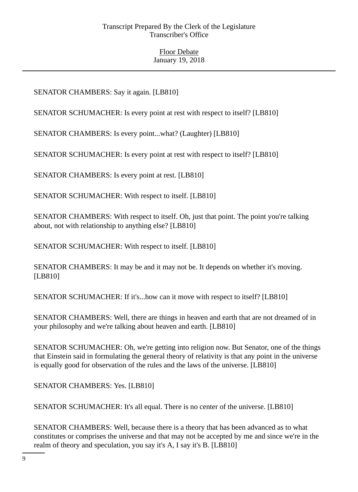# SENATOR CHAMBERS: Say it again. [LB810]

SENATOR SCHUMACHER: Is every point at rest with respect to itself? [LB810]

SENATOR CHAMBERS: Is every point...what? (Laughter) [LB810]

SENATOR SCHUMACHER: Is every point at rest with respect to itself? [LB810]

SENATOR CHAMBERS: Is every point at rest. [LB810]

SENATOR SCHUMACHER: With respect to itself. [LB810]

SENATOR CHAMBERS: With respect to itself. Oh, just that point. The point you're talking about, not with relationship to anything else? [LB810]

SENATOR SCHUMACHER: With respect to itself. [LB810]

SENATOR CHAMBERS: It may be and it may not be. It depends on whether it's moving. [LB810]

SENATOR SCHUMACHER: If it's...how can it move with respect to itself? [LB810]

SENATOR CHAMBERS: Well, there are things in heaven and earth that are not dreamed of in your philosophy and we're talking about heaven and earth. [LB810]

SENATOR SCHUMACHER: Oh, we're getting into religion now. But Senator, one of the things that Einstein said in formulating the general theory of relativity is that any point in the universe is equally good for observation of the rules and the laws of the universe. [LB810]

SENATOR CHAMBERS: Yes. [LB810]

SENATOR SCHUMACHER: It's all equal. There is no center of the universe. [LB810]

SENATOR CHAMBERS: Well, because there is a theory that has been advanced as to what constitutes or comprises the universe and that may not be accepted by me and since we're in the realm of theory and speculation, you say it's A, I say it's B. [LB810]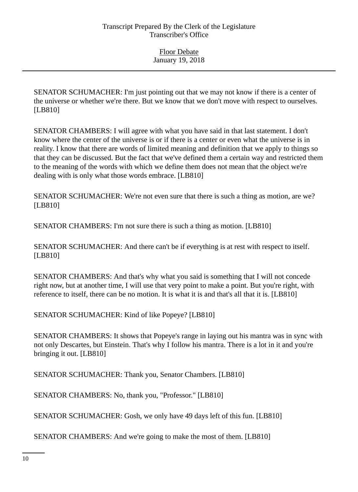SENATOR SCHUMACHER: I'm just pointing out that we may not know if there is a center of the universe or whether we're there. But we know that we don't move with respect to ourselves. [LB810]

SENATOR CHAMBERS: I will agree with what you have said in that last statement. I don't know where the center of the universe is or if there is a center or even what the universe is in reality. I know that there are words of limited meaning and definition that we apply to things so that they can be discussed. But the fact that we've defined them a certain way and restricted them to the meaning of the words with which we define them does not mean that the object we're dealing with is only what those words embrace. [LB810]

SENATOR SCHUMACHER: We're not even sure that there is such a thing as motion, are we? [LB810]

SENATOR CHAMBERS: I'm not sure there is such a thing as motion. [LB810]

SENATOR SCHUMACHER: And there can't be if everything is at rest with respect to itself. [LB810]

SENATOR CHAMBERS: And that's why what you said is something that I will not concede right now, but at another time, I will use that very point to make a point. But you're right, with reference to itself, there can be no motion. It is what it is and that's all that it is. [LB810]

SENATOR SCHUMACHER: Kind of like Popeye? [LB810]

SENATOR CHAMBERS: It shows that Popeye's range in laying out his mantra was in sync with not only Descartes, but Einstein. That's why I follow his mantra. There is a lot in it and you're bringing it out. [LB810]

SENATOR SCHUMACHER: Thank you, Senator Chambers. [LB810]

SENATOR CHAMBERS: No, thank you, "Professor." [LB810]

SENATOR SCHUMACHER: Gosh, we only have 49 days left of this fun. [LB810]

SENATOR CHAMBERS: And we're going to make the most of them. [LB810]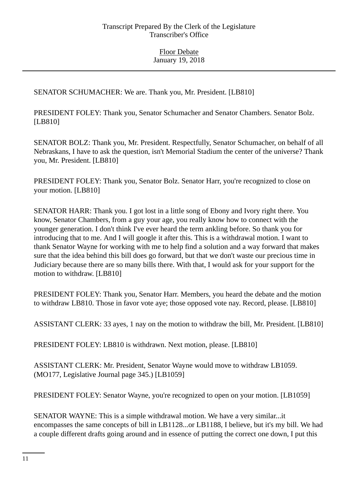SENATOR SCHUMACHER: We are. Thank you, Mr. President. [LB810]

PRESIDENT FOLEY: Thank you, Senator Schumacher and Senator Chambers. Senator Bolz. [LB810]

SENATOR BOLZ: Thank you, Mr. President. Respectfully, Senator Schumacher, on behalf of all Nebraskans, I have to ask the question, isn't Memorial Stadium the center of the universe? Thank you, Mr. President. [LB810]

PRESIDENT FOLEY: Thank you, Senator Bolz. Senator Harr, you're recognized to close on your motion. [LB810]

SENATOR HARR: Thank you. I got lost in a little song of Ebony and Ivory right there. You know, Senator Chambers, from a guy your age, you really know how to connect with the younger generation. I don't think I've ever heard the term ankling before. So thank you for introducing that to me. And I will google it after this. This is a withdrawal motion. I want to thank Senator Wayne for working with me to help find a solution and a way forward that makes sure that the idea behind this bill does go forward, but that we don't waste our precious time in Judiciary because there are so many bills there. With that, I would ask for your support for the motion to withdraw. [LB810]

PRESIDENT FOLEY: Thank you, Senator Harr. Members, you heard the debate and the motion to withdraw LB810. Those in favor vote aye; those opposed vote nay. Record, please. [LB810]

ASSISTANT CLERK: 33 ayes, 1 nay on the motion to withdraw the bill, Mr. President. [LB810]

PRESIDENT FOLEY: LB810 is withdrawn. Next motion, please. [LB810]

ASSISTANT CLERK: Mr. President, Senator Wayne would move to withdraw LB1059. (MO177, Legislative Journal page 345.) [LB1059]

PRESIDENT FOLEY: Senator Wayne, you're recognized to open on your motion. [LB1059]

SENATOR WAYNE: This is a simple withdrawal motion. We have a very similar...it encompasses the same concepts of bill in LB1128...or LB1188, I believe, but it's my bill. We had a couple different drafts going around and in essence of putting the correct one down, I put this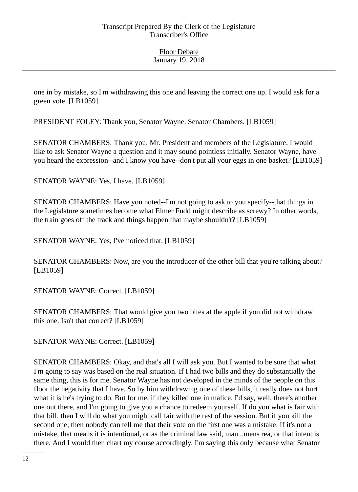one in by mistake, so I'm withdrawing this one and leaving the correct one up. I would ask for a green vote. [LB1059]

PRESIDENT FOLEY: Thank you, Senator Wayne. Senator Chambers. [LB1059]

SENATOR CHAMBERS: Thank you. Mr. President and members of the Legislature, I would like to ask Senator Wayne a question and it may sound pointless initially. Senator Wayne, have you heard the expression--and I know you have--don't put all your eggs in one basket? [LB1059]

SENATOR WAYNE: Yes, I have. [LB1059]

SENATOR CHAMBERS: Have you noted--I'm not going to ask to you specify--that things in the Legislature sometimes become what Elmer Fudd might describe as screwy? In other words, the train goes off the track and things happen that maybe shouldn't? [LB1059]

SENATOR WAYNE: Yes, I've noticed that. [LB1059]

SENATOR CHAMBERS: Now, are you the introducer of the other bill that you're talking about? [LB1059]

SENATOR WAYNE: Correct. [LB1059]

SENATOR CHAMBERS: That would give you two bites at the apple if you did not withdraw this one. Isn't that correct? [LB1059]

SENATOR WAYNE: Correct. [LB1059]

SENATOR CHAMBERS: Okay, and that's all I will ask you. But I wanted to be sure that what I'm going to say was based on the real situation. If I had two bills and they do substantially the same thing, this is for me. Senator Wayne has not developed in the minds of the people on this floor the negativity that I have. So by him withdrawing one of these bills, it really does not hurt what it is he's trying to do. But for me, if they killed one in malice, I'd say, well, there's another one out there, and I'm going to give you a chance to redeem yourself. If do you what is fair with that bill, then I will do what you might call fair with the rest of the session. But if you kill the second one, then nobody can tell me that their vote on the first one was a mistake. If it's not a mistake, that means it is intentional, or as the criminal law said, man...mens rea, or that intent is there. And I would then chart my course accordingly. I'm saying this only because what Senator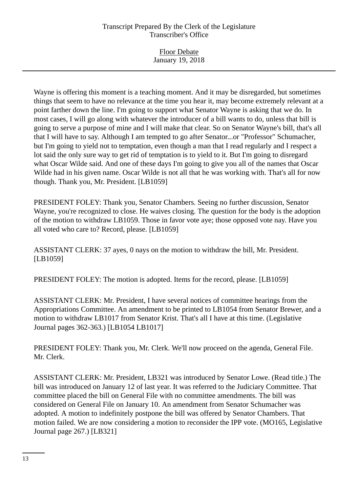Floor Debate January 19, 2018

Wayne is offering this moment is a teaching moment. And it may be disregarded, but sometimes things that seem to have no relevance at the time you hear it, may become extremely relevant at a point farther down the line. I'm going to support what Senator Wayne is asking that we do. In most cases, I will go along with whatever the introducer of a bill wants to do, unless that bill is going to serve a purpose of mine and I will make that clear. So on Senator Wayne's bill, that's all that I will have to say. Although I am tempted to go after Senator...or "Professor" Schumacher, but I'm going to yield not to temptation, even though a man that I read regularly and I respect a lot said the only sure way to get rid of temptation is to yield to it. But I'm going to disregard what Oscar Wilde said. And one of these days I'm going to give you all of the names that Oscar Wilde had in his given name. Oscar Wilde is not all that he was working with. That's all for now though. Thank you, Mr. President. [LB1059]

PRESIDENT FOLEY: Thank you, Senator Chambers. Seeing no further discussion, Senator Wayne, you're recognized to close. He waives closing. The question for the body is the adoption of the motion to withdraw LB1059. Those in favor vote aye; those opposed vote nay. Have you all voted who care to? Record, please. [LB1059]

ASSISTANT CLERK: 37 ayes, 0 nays on the motion to withdraw the bill, Mr. President. [LB1059]

PRESIDENT FOLEY: The motion is adopted. Items for the record, please. [LB1059]

ASSISTANT CLERK: Mr. President, I have several notices of committee hearings from the Appropriations Committee. An amendment to be printed to LB1054 from Senator Brewer, and a motion to withdraw LB1017 from Senator Krist. That's all I have at this time. (Legislative Journal pages 362-363.) [LB1054 LB1017]

PRESIDENT FOLEY: Thank you, Mr. Clerk. We'll now proceed on the agenda, General File. Mr. Clerk.

ASSISTANT CLERK: Mr. President, LB321 was introduced by Senator Lowe. (Read title.) The bill was introduced on January 12 of last year. It was referred to the Judiciary Committee. That committee placed the bill on General File with no committee amendments. The bill was considered on General File on January 10. An amendment from Senator Schumacher was adopted. A motion to indefinitely postpone the bill was offered by Senator Chambers. That motion failed. We are now considering a motion to reconsider the IPP vote. (MO165, Legislative Journal page 267.) [LB321]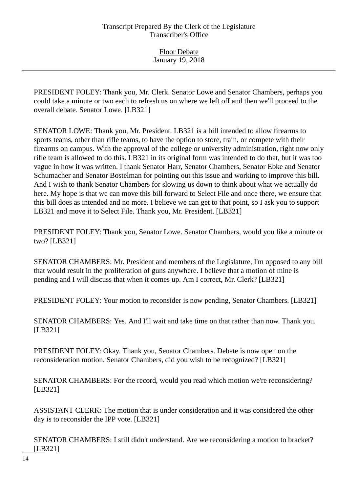PRESIDENT FOLEY: Thank you, Mr. Clerk. Senator Lowe and Senator Chambers, perhaps you could take a minute or two each to refresh us on where we left off and then we'll proceed to the overall debate. Senator Lowe. [LB321]

SENATOR LOWE: Thank you, Mr. President. LB321 is a bill intended to allow firearms to sports teams, other than rifle teams, to have the option to store, train, or compete with their firearms on campus. With the approval of the college or university administration, right now only rifle team is allowed to do this. LB321 in its original form was intended to do that, but it was too vague in how it was written. I thank Senator Harr, Senator Chambers, Senator Ebke and Senator Schumacher and Senator Bostelman for pointing out this issue and working to improve this bill. And I wish to thank Senator Chambers for slowing us down to think about what we actually do here. My hope is that we can move this bill forward to Select File and once there, we ensure that this bill does as intended and no more. I believe we can get to that point, so I ask you to support LB321 and move it to Select File. Thank you, Mr. President. [LB321]

PRESIDENT FOLEY: Thank you, Senator Lowe. Senator Chambers, would you like a minute or two? [LB321]

SENATOR CHAMBERS: Mr. President and members of the Legislature, I'm opposed to any bill that would result in the proliferation of guns anywhere. I believe that a motion of mine is pending and I will discuss that when it comes up. Am I correct, Mr. Clerk? [LB321]

PRESIDENT FOLEY: Your motion to reconsider is now pending, Senator Chambers. [LB321]

SENATOR CHAMBERS: Yes. And I'll wait and take time on that rather than now. Thank you. [LB321]

PRESIDENT FOLEY: Okay. Thank you, Senator Chambers. Debate is now open on the reconsideration motion. Senator Chambers, did you wish to be recognized? [LB321]

SENATOR CHAMBERS: For the record, would you read which motion we're reconsidering? [LB321]

ASSISTANT CLERK: The motion that is under consideration and it was considered the other day is to reconsider the IPP vote. [LB321]

SENATOR CHAMBERS: I still didn't understand. Are we reconsidering a motion to bracket? [LB321]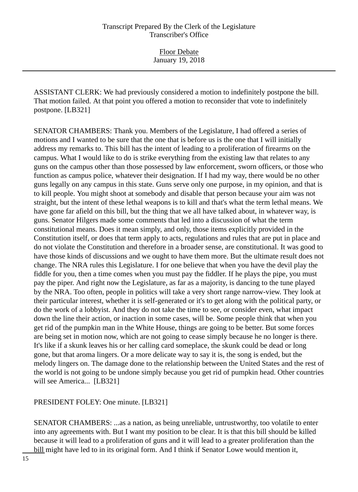ASSISTANT CLERK: We had previously considered a motion to indefinitely postpone the bill. That motion failed. At that point you offered a motion to reconsider that vote to indefinitely postpone. [LB321]

SENATOR CHAMBERS: Thank you. Members of the Legislature, I had offered a series of motions and I wanted to be sure that the one that is before us is the one that I will initially address my remarks to. This bill has the intent of leading to a proliferation of firearms on the campus. What I would like to do is strike everything from the existing law that relates to any guns on the campus other than those possessed by law enforcement, sworn officers, or those who function as campus police, whatever their designation. If I had my way, there would be no other guns legally on any campus in this state. Guns serve only one purpose, in my opinion, and that is to kill people. You might shoot at somebody and disable that person because your aim was not straight, but the intent of these lethal weapons is to kill and that's what the term lethal means. We have gone far afield on this bill, but the thing that we all have talked about, in whatever way, is guns. Senator Hilgers made some comments that led into a discussion of what the term constitutional means. Does it mean simply, and only, those items explicitly provided in the Constitution itself, or does that term apply to acts, regulations and rules that are put in place and do not violate the Constitution and therefore in a broader sense, are constitutional. It was good to have those kinds of discussions and we ought to have them more. But the ultimate result does not change. The NRA rules this Legislature. I for one believe that when you have the devil play the fiddle for you, then a time comes when you must pay the fiddler. If he plays the pipe, you must pay the piper. And right now the Legislature, as far as a majority, is dancing to the tune played by the NRA. Too often, people in politics will take a very short range narrow-view. They look at their particular interest, whether it is self-generated or it's to get along with the political party, or do the work of a lobbyist. And they do not take the time to see, or consider even, what impact down the line their action, or inaction in some cases, will be. Some people think that when you get rid of the pumpkin man in the White House, things are going to be better. But some forces are being set in motion now, which are not going to cease simply because he no longer is there. It's like if a skunk leaves his or her calling card someplace, the skunk could be dead or long gone, but that aroma lingers. Or a more delicate way to say it is, the song is ended, but the melody lingers on. The damage done to the relationship between the United States and the rest of the world is not going to be undone simply because you get rid of pumpkin head. Other countries will see America... [LB321]

PRESIDENT FOLEY: One minute. [LB321]

SENATOR CHAMBERS: ...as a nation, as being unreliable, untrustworthy, too volatile to enter into any agreements with. But I want my position to be clear. It is that this bill should be killed because it will lead to a proliferation of guns and it will lead to a greater proliferation than the bill might have led to in its original form. And I think if Senator Lowe would mention it,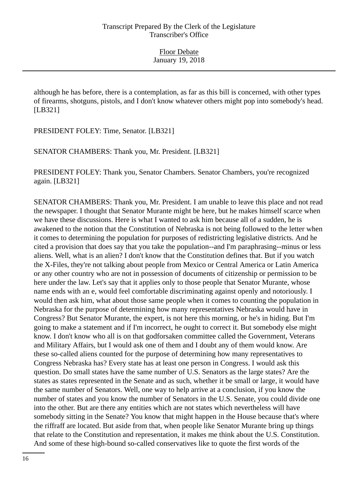although he has before, there is a contemplation, as far as this bill is concerned, with other types of firearms, shotguns, pistols, and I don't know whatever others might pop into somebody's head. [LB321]

PRESIDENT FOLEY: Time, Senator. [LB321]

SENATOR CHAMBERS: Thank you, Mr. President. [LB321]

PRESIDENT FOLEY: Thank you, Senator Chambers. Senator Chambers, you're recognized again. [LB321]

SENATOR CHAMBERS: Thank you, Mr. President. I am unable to leave this place and not read the newspaper. I thought that Senator Murante might be here, but he makes himself scarce when we have these discussions. Here is what I wanted to ask him because all of a sudden, he is awakened to the notion that the Constitution of Nebraska is not being followed to the letter when it comes to determining the population for purposes of redistricting legislative districts. And he cited a provision that does say that you take the population--and I'm paraphrasing--minus or less aliens. Well, what is an alien? I don't know that the Constitution defines that. But if you watch the X-Files, they're not talking about people from Mexico or Central America or Latin America or any other country who are not in possession of documents of citizenship or permission to be here under the law. Let's say that it applies only to those people that Senator Murante, whose name ends with an e, would feel comfortable discriminating against openly and notoriously. I would then ask him, what about those same people when it comes to counting the population in Nebraska for the purpose of determining how many representatives Nebraska would have in Congress? But Senator Murante, the expert, is not here this morning, or he's in hiding. But I'm going to make a statement and if I'm incorrect, he ought to correct it. But somebody else might know. I don't know who all is on that godforsaken committee called the Government, Veterans and Military Affairs, but I would ask one of them and I doubt any of them would know. Are these so-called aliens counted for the purpose of determining how many representatives to Congress Nebraska has? Every state has at least one person in Congress. I would ask this question. Do small states have the same number of U.S. Senators as the large states? Are the states as states represented in the Senate and as such, whether it be small or large, it would have the same number of Senators. Well, one way to help arrive at a conclusion, if you know the number of states and you know the number of Senators in the U.S. Senate, you could divide one into the other. But are there any entities which are not states which nevertheless will have somebody sitting in the Senate? You know that might happen in the House because that's where the riffraff are located. But aside from that, when people like Senator Murante bring up things that relate to the Constitution and representation, it makes me think about the U.S. Constitution. And some of these high-bound so-called conservatives like to quote the first words of the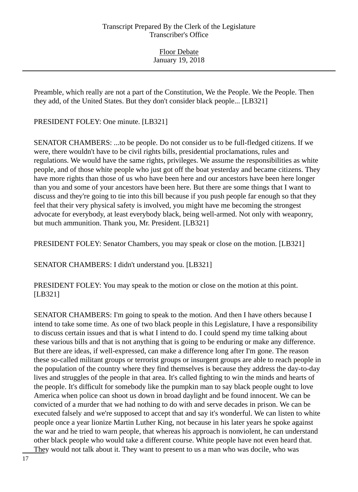Preamble, which really are not a part of the Constitution, We the People. We the People. Then they add, of the United States. But they don't consider black people... [LB321]

PRESIDENT FOLEY: One minute. [LB321]

SENATOR CHAMBERS: ...to be people. Do not consider us to be full-fledged citizens. If we were, there wouldn't have to be civil rights bills, presidential proclamations, rules and regulations. We would have the same rights, privileges. We assume the responsibilities as white people, and of those white people who just got off the boat yesterday and became citizens. They have more rights than those of us who have been here and our ancestors have been here longer than you and some of your ancestors have been here. But there are some things that I want to discuss and they're going to tie into this bill because if you push people far enough so that they feel that their very physical safety is involved, you might have me becoming the strongest advocate for everybody, at least everybody black, being well-armed. Not only with weaponry, but much ammunition. Thank you, Mr. President. [LB321]

PRESIDENT FOLEY: Senator Chambers, you may speak or close on the motion. [LB321]

SENATOR CHAMBERS: I didn't understand you. [LB321]

PRESIDENT FOLEY: You may speak to the motion or close on the motion at this point. [LB321]

SENATOR CHAMBERS: I'm going to speak to the motion. And then I have others because I intend to take some time. As one of two black people in this Legislature, I have a responsibility to discuss certain issues and that is what I intend to do. I could spend my time talking about these various bills and that is not anything that is going to be enduring or make any difference. But there are ideas, if well-expressed, can make a difference long after I'm gone. The reason these so-called militant groups or terrorist groups or insurgent groups are able to reach people in the population of the country where they find themselves is because they address the day-to-day lives and struggles of the people in that area. It's called fighting to win the minds and hearts of the people. It's difficult for somebody like the pumpkin man to say black people ought to love America when police can shoot us down in broad daylight and be found innocent. We can be convicted of a murder that we had nothing to do with and serve decades in prison. We can be executed falsely and we're supposed to accept that and say it's wonderful. We can listen to white people once a year lionize Martin Luther King, not because in his later years he spoke against the war and he tried to warn people, that whereas his approach is nonviolent, he can understand other black people who would take a different course. White people have not even heard that. They would not talk about it. They want to present to us a man who was docile, who was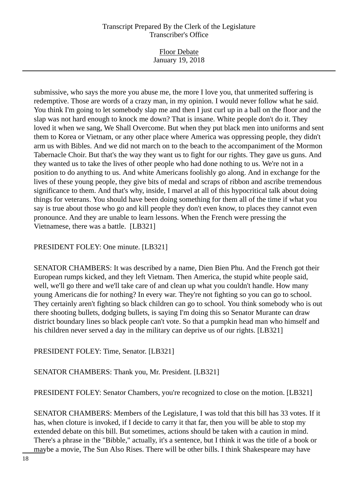Floor Debate January 19, 2018

submissive, who says the more you abuse me, the more I love you, that unmerited suffering is redemptive. Those are words of a crazy man, in my opinion. I would never follow what he said. You think I'm going to let somebody slap me and then I just curl up in a ball on the floor and the slap was not hard enough to knock me down? That is insane. White people don't do it. They loved it when we sang, We Shall Overcome. But when they put black men into uniforms and sent them to Korea or Vietnam, or any other place where America was oppressing people, they didn't arm us with Bibles. And we did not march on to the beach to the accompaniment of the Mormon Tabernacle Choir. But that's the way they want us to fight for our rights. They gave us guns. And they wanted us to take the lives of other people who had done nothing to us. We're not in a position to do anything to us. And white Americans foolishly go along. And in exchange for the lives of these young people, they give bits of medal and scraps of ribbon and ascribe tremendous significance to them. And that's why, inside, I marvel at all of this hypocritical talk about doing things for veterans. You should have been doing something for them all of the time if what you say is true about those who go and kill people they don't even know, to places they cannot even pronounce. And they are unable to learn lessons. When the French were pressing the Vietnamese, there was a battle. [LB321]

PRESIDENT FOLEY: One minute. [LB321]

SENATOR CHAMBERS: It was described by a name, Dien Bien Phu. And the French got their European rumps kicked, and they left Vietnam. Then America, the stupid white people said, well, we'll go there and we'll take care of and clean up what you couldn't handle. How many young Americans die for nothing? In every war. They're not fighting so you can go to school. They certainly aren't fighting so black children can go to school. You think somebody who is out there shooting bullets, dodging bullets, is saying I'm doing this so Senator Murante can draw district boundary lines so black people can't vote. So that a pumpkin head man who himself and his children never served a day in the military can deprive us of our rights. [LB321]

PRESIDENT FOLEY: Time, Senator. [LB321]

SENATOR CHAMBERS: Thank you, Mr. President. [LB321]

PRESIDENT FOLEY: Senator Chambers, you're recognized to close on the motion. [LB321]

SENATOR CHAMBERS: Members of the Legislature, I was told that this bill has 33 votes. If it has, when cloture is invoked, if I decide to carry it that far, then you will be able to stop my extended debate on this bill. But sometimes, actions should be taken with a caution in mind. There's a phrase in the "Bibble," actually, it's a sentence, but I think it was the title of a book or maybe a movie, The Sun Also Rises. There will be other bills. I think Shakespeare may have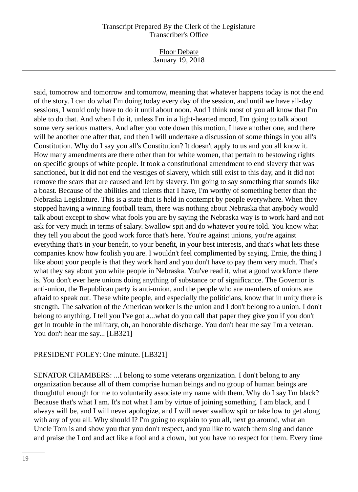Floor Debate January 19, 2018

said, tomorrow and tomorrow and tomorrow, meaning that whatever happens today is not the end of the story. I can do what I'm doing today every day of the session, and until we have all-day sessions, I would only have to do it until about noon. And I think most of you all know that I'm able to do that. And when I do it, unless I'm in a light-hearted mood, I'm going to talk about some very serious matters. And after you vote down this motion, I have another one, and there will be another one after that, and then I will undertake a discussion of some things in you all's Constitution. Why do I say you all's Constitution? It doesn't apply to us and you all know it. How many amendments are there other than for white women, that pertain to bestowing rights on specific groups of white people. It took a constitutional amendment to end slavery that was sanctioned, but it did not end the vestiges of slavery, which still exist to this day, and it did not remove the scars that are caused and left by slavery. I'm going to say something that sounds like a boast. Because of the abilities and talents that I have, I'm worthy of something better than the Nebraska Legislature. This is a state that is held in contempt by people everywhere. When they stopped having a winning football team, there was nothing about Nebraska that anybody would talk about except to show what fools you are by saying the Nebraska way is to work hard and not ask for very much in terms of salary. Swallow spit and do whatever you're told. You know what they tell you about the good work force that's here. You're against unions, you're against everything that's in your benefit, to your benefit, in your best interests, and that's what lets these companies know how foolish you are. I wouldn't feel complimented by saying, Ernie, the thing I like about your people is that they work hard and you don't have to pay them very much. That's what they say about you white people in Nebraska. You've read it, what a good workforce there is. You don't ever here unions doing anything of substance or of significance. The Governor is anti-union, the Republican party is anti-union, and the people who are members of unions are afraid to speak out. These white people, and especially the politicians, know that in unity there is strength. The salvation of the American worker is the union and I don't belong to a union. I don't belong to anything. I tell you I've got a...what do you call that paper they give you if you don't get in trouble in the military, oh, an honorable discharge. You don't hear me say I'm a veteran. You don't hear me say... [LB321]

## PRESIDENT FOLEY: One minute. [LB321]

SENATOR CHAMBERS: ...I belong to some veterans organization. I don't belong to any organization because all of them comprise human beings and no group of human beings are thoughtful enough for me to voluntarily associate my name with them. Why do I say I'm black? Because that's what I am. It's not what I am by virtue of joining something. I am black, and I always will be, and I will never apologize, and I will never swallow spit or take low to get along with any of you all. Why should I? I'm going to explain to you all, next go around, what an Uncle Tom is and show you that you don't respect, and you like to watch them sing and dance and praise the Lord and act like a fool and a clown, but you have no respect for them. Every time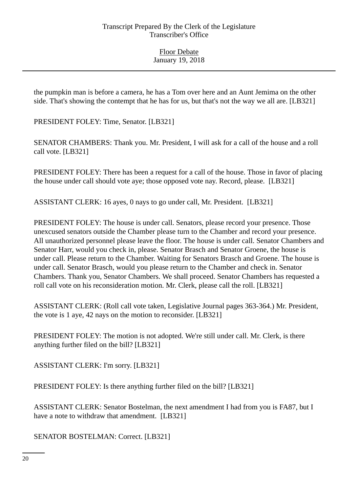the pumpkin man is before a camera, he has a Tom over here and an Aunt Jemima on the other side. That's showing the contempt that he has for us, but that's not the way we all are. [LB321]

PRESIDENT FOLEY: Time, Senator. [LB321]

SENATOR CHAMBERS: Thank you. Mr. President, I will ask for a call of the house and a roll call vote. [LB321]

PRESIDENT FOLEY: There has been a request for a call of the house. Those in favor of placing the house under call should vote aye; those opposed vote nay. Record, please. [LB321]

ASSISTANT CLERK: 16 ayes, 0 nays to go under call, Mr. President. [LB321]

PRESIDENT FOLEY: The house is under call. Senators, please record your presence. Those unexcused senators outside the Chamber please turn to the Chamber and record your presence. All unauthorized personnel please leave the floor. The house is under call. Senator Chambers and Senator Harr, would you check in, please. Senator Brasch and Senator Groene, the house is under call. Please return to the Chamber. Waiting for Senators Brasch and Groene. The house is under call. Senator Brasch, would you please return to the Chamber and check in. Senator Chambers. Thank you, Senator Chambers. We shall proceed. Senator Chambers has requested a roll call vote on his reconsideration motion. Mr. Clerk, please call the roll. [LB321]

ASSISTANT CLERK: (Roll call vote taken, Legislative Journal pages 363-364.) Mr. President, the vote is 1 aye, 42 nays on the motion to reconsider. [LB321]

PRESIDENT FOLEY: The motion is not adopted. We're still under call. Mr. Clerk, is there anything further filed on the bill? [LB321]

ASSISTANT CLERK: I'm sorry. [LB321]

PRESIDENT FOLEY: Is there anything further filed on the bill? [LB321]

ASSISTANT CLERK: Senator Bostelman, the next amendment I had from you is FA87, but I have a note to withdraw that amendment. [LB321]

SENATOR BOSTELMAN: Correct. [LB321]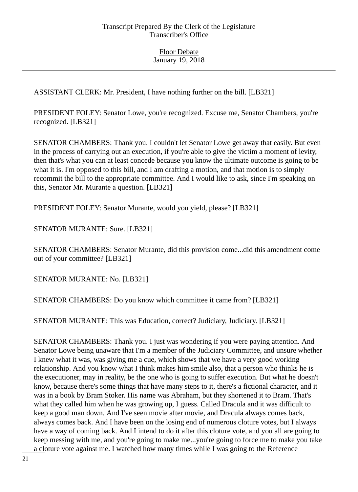ASSISTANT CLERK: Mr. President, I have nothing further on the bill. [LB321]

PRESIDENT FOLEY: Senator Lowe, you're recognized. Excuse me, Senator Chambers, you're recognized. [LB321]

SENATOR CHAMBERS: Thank you. I couldn't let Senator Lowe get away that easily. But even in the process of carrying out an execution, if you're able to give the victim a moment of levity, then that's what you can at least concede because you know the ultimate outcome is going to be what it is. I'm opposed to this bill, and I am drafting a motion, and that motion is to simply recommit the bill to the appropriate committee. And I would like to ask, since I'm speaking on this, Senator Mr. Murante a question. [LB321]

PRESIDENT FOLEY: Senator Murante, would you yield, please? [LB321]

SENATOR MURANTE: Sure. [LB321]

SENATOR CHAMBERS: Senator Murante, did this provision come...did this amendment come out of your committee? [LB321]

SENATOR MURANTE: No. [LB321]

SENATOR CHAMBERS: Do you know which committee it came from? [LB321]

SENATOR MURANTE: This was Education, correct? Judiciary, Judiciary. [LB321]

SENATOR CHAMBERS: Thank you. I just was wondering if you were paying attention. And Senator Lowe being unaware that I'm a member of the Judiciary Committee, and unsure whether I knew what it was, was giving me a cue, which shows that we have a very good working relationship. And you know what I think makes him smile also, that a person who thinks he is the executioner, may in reality, be the one who is going to suffer execution. But what he doesn't know, because there's some things that have many steps to it, there's a fictional character, and it was in a book by Bram Stoker. His name was Abraham, but they shortened it to Bram. That's what they called him when he was growing up, I guess. Called Dracula and it was difficult to keep a good man down. And I've seen movie after movie, and Dracula always comes back, always comes back. And I have been on the losing end of numerous cloture votes, but I always have a way of coming back. And I intend to do it after this cloture vote, and you all are going to keep messing with me, and you're going to make me...you're going to force me to make you take a cloture vote against me. I watched how many times while I was going to the Reference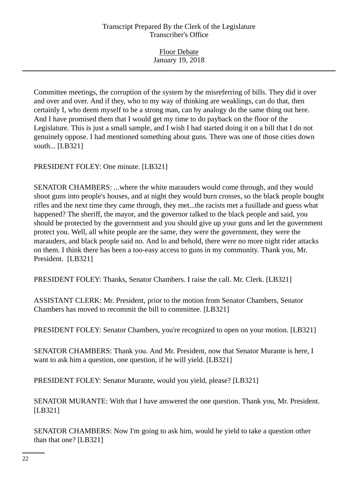Floor Debate January 19, 2018

Committee meetings, the corruption of the system by the misreferring of bills. They did it over and over and over. And if they, who to my way of thinking are weaklings, can do that, then certainly I, who deem myself to be a strong man, can by analogy do the same thing out here. And I have promised them that I would get my time to do payback on the floor of the Legislature. This is just a small sample, and I wish I had started doing it on a bill that I do not genuinely oppose. I had mentioned something about guns. There was one of those cities down south... [LB321]

PRESIDENT FOLEY: One minute. [LB321]

SENATOR CHAMBERS: ...where the white marauders would come through, and they would shoot guns into people's houses, and at night they would burn crosses, so the black people bought rifles and the next time they came through, they met...the racists met a fusillade and guess what happened? The sheriff, the mayor, and the governor talked to the black people and said, you should be protected by the government and you should give up your guns and let the government protect you. Well, all white people are the same, they were the government, they were the marauders, and black people said no. And lo and behold, there were no more night rider attacks on them. I think there has been a too-easy access to guns in my community. Thank you, Mr. President. [LB321]

PRESIDENT FOLEY: Thanks, Senator Chambers. I raise the call. Mr. Clerk. [LB321]

ASSISTANT CLERK: Mr. President, prior to the motion from Senator Chambers, Senator Chambers has moved to recommit the bill to committee. [LB321]

PRESIDENT FOLEY: Senator Chambers, you're recognized to open on your motion. [LB321]

SENATOR CHAMBERS: Thank you. And Mr. President, now that Senator Murante is here, I want to ask him a question, one question, if he will yield. [LB321]

PRESIDENT FOLEY: Senator Murante, would you yield, please? [LB321]

SENATOR MURANTE: With that I have answered the one question. Thank you, Mr. President. [LB321]

SENATOR CHAMBERS: Now I'm going to ask him, would he yield to take a question other than that one? [LB321]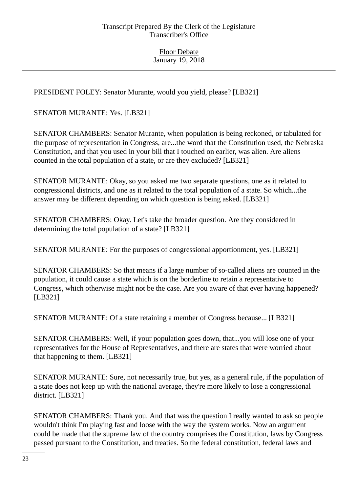PRESIDENT FOLEY: Senator Murante, would you yield, please? [LB321]

SENATOR MURANTE: Yes. [LB321]

SENATOR CHAMBERS: Senator Murante, when population is being reckoned, or tabulated for the purpose of representation in Congress, are...the word that the Constitution used, the Nebraska Constitution, and that you used in your bill that I touched on earlier, was alien. Are aliens counted in the total population of a state, or are they excluded? [LB321]

SENATOR MURANTE: Okay, so you asked me two separate questions, one as it related to congressional districts, and one as it related to the total population of a state. So which...the answer may be different depending on which question is being asked. [LB321]

SENATOR CHAMBERS: Okay. Let's take the broader question. Are they considered in determining the total population of a state? [LB321]

SENATOR MURANTE: For the purposes of congressional apportionment, yes. [LB321]

SENATOR CHAMBERS: So that means if a large number of so-called aliens are counted in the population, it could cause a state which is on the borderline to retain a representative to Congress, which otherwise might not be the case. Are you aware of that ever having happened? [LB321]

SENATOR MURANTE: Of a state retaining a member of Congress because... [LB321]

SENATOR CHAMBERS: Well, if your population goes down, that...you will lose one of your representatives for the House of Representatives, and there are states that were worried about that happening to them. [LB321]

SENATOR MURANTE: Sure, not necessarily true, but yes, as a general rule, if the population of a state does not keep up with the national average, they're more likely to lose a congressional district. [LB321]

SENATOR CHAMBERS: Thank you. And that was the question I really wanted to ask so people wouldn't think I'm playing fast and loose with the way the system works. Now an argument could be made that the supreme law of the country comprises the Constitution, laws by Congress passed pursuant to the Constitution, and treaties. So the federal constitution, federal laws and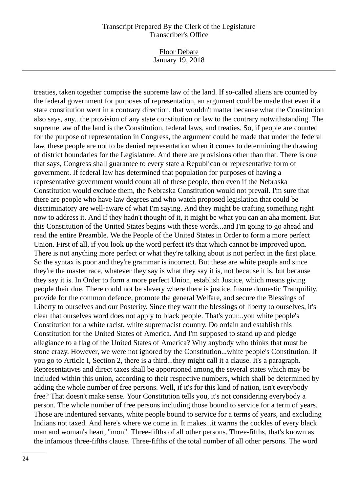#### Floor Debate January 19, 2018

treaties, taken together comprise the supreme law of the land. If so-called aliens are counted by the federal government for purposes of representation, an argument could be made that even if a state constitution went in a contrary direction, that wouldn't matter because what the Constitution also says, any...the provision of any state constitution or law to the contrary notwithstanding. The supreme law of the land is the Constitution, federal laws, and treaties. So, if people are counted for the purpose of representation in Congress, the argument could be made that under the federal law, these people are not to be denied representation when it comes to determining the drawing of district boundaries for the Legislature. And there are provisions other than that. There is one that says, Congress shall guarantee to every state a Republican or representative form of government. If federal law has determined that population for purposes of having a representative government would count all of these people, then even if the Nebraska Constitution would exclude them, the Nebraska Constitution would not prevail. I'm sure that there are people who have law degrees and who watch proposed legislation that could be discriminatory are well-aware of what I'm saying. And they might be crafting something right now to address it. And if they hadn't thought of it, it might be what you can an aha moment. But this Constitution of the United States begins with these words...and I'm going to go ahead and read the entire Preamble. We the People of the United States in Order to form a more perfect Union. First of all, if you look up the word perfect it's that which cannot be improved upon. There is not anything more perfect or what they're talking about is not perfect in the first place. So the syntax is poor and they're grammar is incorrect. But these are white people and since they're the master race, whatever they say is what they say it is, not because it is, but because they say it is. In Order to form a more perfect Union, establish Justice, which means giving people their due. There could not be slavery where there is justice. Insure domestic Tranquility, provide for the common defence, promote the general Welfare, and secure the Blessings of Liberty to ourselves and our Posterity. Since they want the blessings of liberty to ourselves, it's clear that ourselves word does not apply to black people. That's your...you white people's Constitution for a white racist, white supremacist country. Do ordain and establish this Constitution for the United States of America. And I'm supposed to stand up and pledge allegiance to a flag of the United States of America? Why anybody who thinks that must be stone crazy. However, we were not ignored by the Constitution...white people's Constitution. If you go to Article I, Section 2, there is a third...they might call it a clause. It's a paragraph. Representatives and direct taxes shall be apportioned among the several states which may be included within this union, according to their respective numbers, which shall be determined by adding the whole number of free persons. Well, if it's for this kind of nation, isn't everybody free? That doesn't make sense. Your Constitution tells you, it's not considering everybody a person. The whole number of free persons including those bound to service for a term of years. Those are indentured servants, white people bound to service for a terms of years, and excluding Indians not taxed. And here's where we come in. It makes...it warms the cockles of every black man and woman's heart, "mon". Three-fifths of all other persons. Three-fifths, that's known as the infamous three-fifths clause. Three-fifths of the total number of all other persons. The word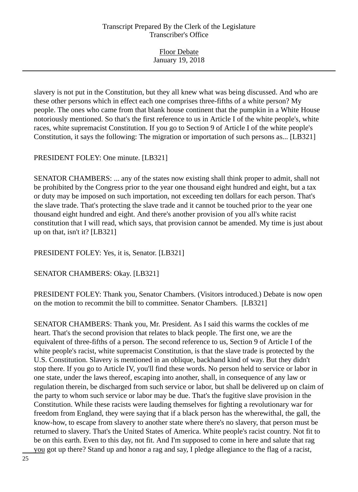Floor Debate January 19, 2018

slavery is not put in the Constitution, but they all knew what was being discussed. And who are these other persons which in effect each one comprises three-fifths of a white person? My people. The ones who came from that blank house continent that the pumpkin in a White House notoriously mentioned. So that's the first reference to us in Article I of the white people's, white races, white supremacist Constitution. If you go to Section 9 of Article I of the white people's Constitution, it says the following: The migration or importation of such persons as... [LB321]

PRESIDENT FOLEY: One minute. [LB321]

SENATOR CHAMBERS: ... any of the states now existing shall think proper to admit, shall not be prohibited by the Congress prior to the year one thousand eight hundred and eight, but a tax or duty may be imposed on such importation, not exceeding ten dollars for each person. That's the slave trade. That's protecting the slave trade and it cannot be touched prior to the year one thousand eight hundred and eight. And there's another provision of you all's white racist constitution that I will read, which says, that provision cannot be amended. My time is just about up on that, isn't it? [LB321]

PRESIDENT FOLEY: Yes, it is, Senator. [LB321]

SENATOR CHAMBERS: Okay. [LB321]

PRESIDENT FOLEY: Thank you, Senator Chambers. (Visitors introduced.) Debate is now open on the motion to recommit the bill to committee. Senator Chambers. [LB321]

SENATOR CHAMBERS: Thank you, Mr. President. As I said this warms the cockles of me heart. That's the second provision that relates to black people. The first one, we are the equivalent of three-fifths of a person. The second reference to us, Section 9 of Article I of the white people's racist, white supremacist Constitution, is that the slave trade is protected by the U.S. Constitution. Slavery is mentioned in an oblique, backhand kind of way. But they didn't stop there. If you go to Article IV, you'll find these words. No person held to service or labor in one state, under the laws thereof, escaping into another, shall, in consequence of any law or regulation therein, be discharged from such service or labor, but shall be delivered up on claim of the party to whom such service or labor may be due. That's the fugitive slave provision in the Constitution. While these racists were lauding themselves for fighting a revolutionary war for freedom from England, they were saying that if a black person has the wherewithal, the gall, the know-how, to escape from slavery to another state where there's no slavery, that person must be returned to slavery. That's the United States of America. White people's racist country. Not fit to be on this earth. Even to this day, not fit. And I'm supposed to come in here and salute that rag you got up there? Stand up and honor a rag and say, I pledge allegiance to the flag of a racist,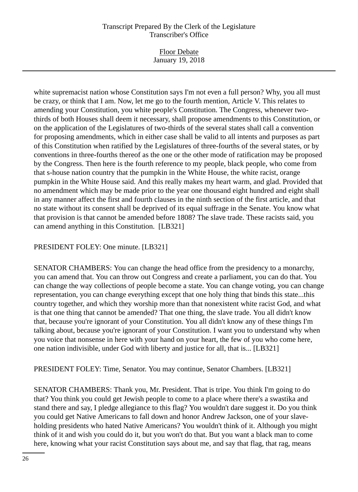Floor Debate January 19, 2018

white supremacist nation whose Constitution says I'm not even a full person? Why, you all must be crazy, or think that I am. Now, let me go to the fourth mention, Article V. This relates to amending your Constitution, you white people's Constitution. The Congress, whenever twothirds of both Houses shall deem it necessary, shall propose amendments to this Constitution, or on the application of the Legislatures of two-thirds of the several states shall call a convention for proposing amendments, which in either case shall be valid to all intents and purposes as part of this Constitution when ratified by the Legislatures of three-fourths of the several states, or by conventions in three-fourths thereof as the one or the other mode of ratification may be proposed by the Congress. Then here is the fourth reference to my people, black people, who come from that s-house nation country that the pumpkin in the White House, the white racist, orange pumpkin in the White House said. And this really makes my heart warm, and glad. Provided that no amendment which may be made prior to the year one thousand eight hundred and eight shall in any manner affect the first and fourth clauses in the ninth section of the first article, and that no state without its consent shall be deprived of its equal suffrage in the Senate. You know what that provision is that cannot be amended before 1808? The slave trade. These racists said, you can amend anything in this Constitution. [LB321]

## PRESIDENT FOLEY: One minute. [LB321]

SENATOR CHAMBERS: You can change the head office from the presidency to a monarchy, you can amend that. You can throw out Congress and create a parliament, you can do that. You can change the way collections of people become a state. You can change voting, you can change representation, you can change everything except that one holy thing that binds this state...this country together, and which they worship more than that nonexistent white racist God, and what is that one thing that cannot be amended? That one thing, the slave trade. You all didn't know that, because you're ignorant of your Constitution. You all didn't know any of these things I'm talking about, because you're ignorant of your Constitution. I want you to understand why when you voice that nonsense in here with your hand on your heart, the few of you who come here, one nation indivisible, under God with liberty and justice for all, that is... [LB321]

PRESIDENT FOLEY: Time, Senator. You may continue, Senator Chambers. [LB321]

SENATOR CHAMBERS: Thank you, Mr. President. That is tripe. You think I'm going to do that? You think you could get Jewish people to come to a place where there's a swastika and stand there and say, I pledge allegiance to this flag? You wouldn't dare suggest it. Do you think you could get Native Americans to fall down and honor Andrew Jackson, one of your slaveholding presidents who hated Native Americans? You wouldn't think of it. Although you might think of it and wish you could do it, but you won't do that. But you want a black man to come here, knowing what your racist Constitution says about me, and say that flag, that rag, means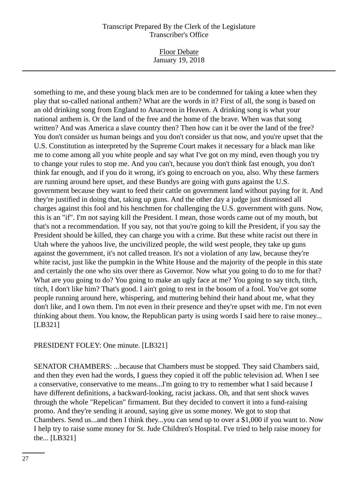#### Floor Debate January 19, 2018

something to me, and these young black men are to be condemned for taking a knee when they play that so-called national anthem? What are the words in it? First of all, the song is based on an old drinking song from England to Anacreon in Heaven. A drinking song is what your national anthem is. Or the land of the free and the home of the brave. When was that song written? And was America a slave country then? Then how can it be over the land of the free? You don't consider us human beings and you don't consider us that now, and you're upset that the U.S. Constitution as interpreted by the Supreme Court makes it necessary for a black man like me to come among all you white people and say what I've got on my mind, even though you try to change your rules to stop me. And you can't, because you don't think fast enough, you don't think far enough, and if you do it wrong, it's going to encroach on you, also. Why these farmers are running around here upset, and these Bundys are going with guns against the U.S. government because they want to feed their cattle on government land without paying for it. And they're justified in doing that, taking up guns. And the other day a judge just dismissed all charges against this fool and his henchmen for challenging the U.S. government with guns. Now, this is an "if". I'm not saying kill the President. I mean, those words came out of my mouth, but that's not a recommendation. If you say, not that you're going to kill the President, if you say the President should be killed, they can charge you with a crime. But these white racist out there in Utah where the yahoos live, the uncivilized people, the wild west people, they take up guns against the government, it's not called treason. It's not a violation of any law, because they're white racist, just like the pumpkin in the White House and the majority of the people in this state and certainly the one who sits over there as Governor. Now what you going to do to me for that? What are you going to do? You going to make an ugly face at me? You going to say titch, titch, titch, I don't like him? That's good. I ain't going to rest in the bosom of a fool. You've got some people running around here, whispering, and muttering behind their hand about me, what they don't like, and I own them. I'm not even in their presence and they're upset with me. I'm not even thinking about them. You know, the Republican party is using words I said here to raise money... [LB321]

## PRESIDENT FOLEY: One minute. [LB321]

SENATOR CHAMBERS: ...because that Chambers must be stopped. They said Chambers said, and then they even had the words, I guess they copied it off the public television ad. When I see a conservative, conservative to me means...I'm going to try to remember what I said because I have different definitions, a backward-looking, racist jackass. Oh, and that sent shock waves through the whole "Repelican" firmament. But they decided to convert it into a fund-raising promo. And they're sending it around, saying give us some money. We got to stop that Chambers. Send us...and then I think they...you can send up to over a \$1,000 if you want to. Now I help try to raise some money for St. Jude Children's Hospital. I've tried to help raise money for the... [LB321]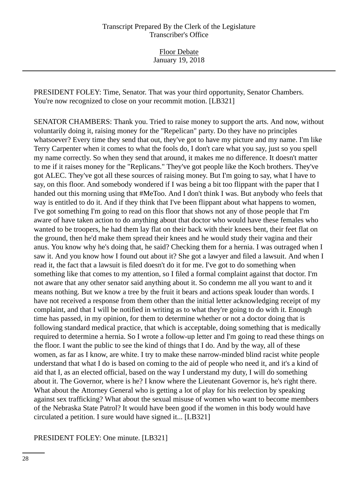Floor Debate January 19, 2018

PRESIDENT FOLEY: Time, Senator. That was your third opportunity, Senator Chambers. You're now recognized to close on your recommit motion. [LB321]

SENATOR CHAMBERS: Thank you. Tried to raise money to support the arts. And now, without voluntarily doing it, raising money for the "Repelican" party. Do they have no principles whatsoever? Every time they send that out, they've got to have my picture and my name. I'm like Terry Carpenter when it comes to what the fools do, I don't care what you say, just so you spell my name correctly. So when they send that around, it makes me no difference. It doesn't matter to me if it raises money for the "Replicans." They've got people like the Koch brothers. They've got ALEC. They've got all these sources of raising money. But I'm going to say, what I have to say, on this floor. And somebody wondered if I was being a bit too flippant with the paper that I handed out this morning using that #MeToo. And I don't think I was. But anybody who feels that way is entitled to do it. And if they think that I've been flippant about what happens to women, I've got something I'm going to read on this floor that shows not any of those people that I'm aware of have taken action to do anything about that doctor who would have these females who wanted to be troopers, he had them lay flat on their back with their knees bent, their feet flat on the ground, then he'd make them spread their knees and he would study their vagina and their anus. You know why he's doing that, he said? Checking them for a hernia. I was outraged when I saw it. And you know how I found out about it? She got a lawyer and filed a lawsuit. And when I read it, the fact that a lawsuit is filed doesn't do it for me. I've got to do something when something like that comes to my attention, so I filed a formal complaint against that doctor. I'm not aware that any other senator said anything about it. So condemn me all you want to and it means nothing. But we know a tree by the fruit it bears and actions speak louder than words. I have not received a response from them other than the initial letter acknowledging receipt of my complaint, and that I will be notified in writing as to what they're going to do with it. Enough time has passed, in my opinion, for them to determine whether or not a doctor doing that is following standard medical practice, that which is acceptable, doing something that is medically required to determine a hernia. So I wrote a follow-up letter and I'm going to read these things on the floor. I want the public to see the kind of things that I do. And by the way, all of these women, as far as I know, are white. I try to make these narrow-minded blind racist white people understand that what I do is based on coming to the aid of people who need it, and it's a kind of aid that I, as an elected official, based on the way I understand my duty, I will do something about it. The Governor, where is he? I know where the Lieutenant Governor is, he's right there. What about the Attorney General who is getting a lot of play for his reelection by speaking against sex trafficking? What about the sexual misuse of women who want to become members of the Nebraska State Patrol? It would have been good if the women in this body would have circulated a petition. I sure would have signed it... [LB321]

PRESIDENT FOLEY: One minute. [LB321]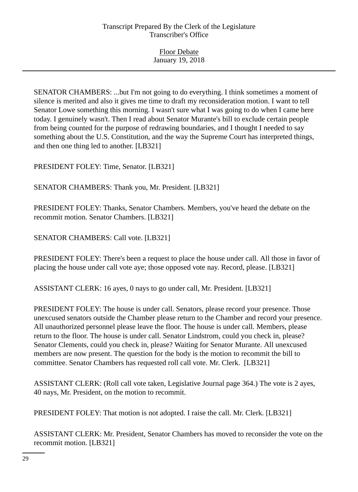SENATOR CHAMBERS: ...but I'm not going to do everything. I think sometimes a moment of silence is merited and also it gives me time to draft my reconsideration motion. I want to tell Senator Lowe something this morning. I wasn't sure what I was going to do when I came here today. I genuinely wasn't. Then I read about Senator Murante's bill to exclude certain people from being counted for the purpose of redrawing boundaries, and I thought I needed to say something about the U.S. Constitution, and the way the Supreme Court has interpreted things, and then one thing led to another. [LB321]

PRESIDENT FOLEY: Time, Senator. [LB321]

SENATOR CHAMBERS: Thank you, Mr. President. [LB321]

PRESIDENT FOLEY: Thanks, Senator Chambers. Members, you've heard the debate on the recommit motion. Senator Chambers. [LB321]

SENATOR CHAMBERS: Call vote. [LB321]

PRESIDENT FOLEY: There's been a request to place the house under call. All those in favor of placing the house under call vote aye; those opposed vote nay. Record, please. [LB321]

ASSISTANT CLERK: 16 ayes, 0 nays to go under call, Mr. President. [LB321]

PRESIDENT FOLEY: The house is under call. Senators, please record your presence. Those unexcused senators outside the Chamber please return to the Chamber and record your presence. All unauthorized personnel please leave the floor. The house is under call. Members, please return to the floor. The house is under call. Senator Lindstrom, could you check in, please? Senator Clements, could you check in, please? Waiting for Senator Murante. All unexcused members are now present. The question for the body is the motion to recommit the bill to committee. Senator Chambers has requested roll call vote. Mr. Clerk. [LB321]

ASSISTANT CLERK: (Roll call vote taken, Legislative Journal page 364.) The vote is 2 ayes, 40 nays, Mr. President, on the motion to recommit.

PRESIDENT FOLEY: That motion is not adopted. I raise the call. Mr. Clerk. [LB321]

ASSISTANT CLERK: Mr. President, Senator Chambers has moved to reconsider the vote on the recommit motion. [LB321]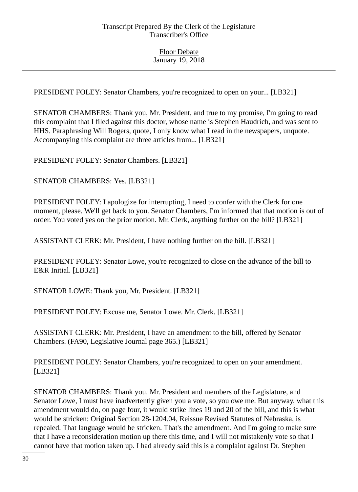PRESIDENT FOLEY: Senator Chambers, you're recognized to open on your... [LB321]

SENATOR CHAMBERS: Thank you, Mr. President, and true to my promise, I'm going to read this complaint that I filed against this doctor, whose name is Stephen Haudrich, and was sent to HHS. Paraphrasing Will Rogers, quote, I only know what I read in the newspapers, unquote. Accompanying this complaint are three articles from... [LB321]

PRESIDENT FOLEY: Senator Chambers. [LB321]

SENATOR CHAMBERS: Yes. [LB321]

PRESIDENT FOLEY: I apologize for interrupting, I need to confer with the Clerk for one moment, please. We'll get back to you. Senator Chambers, I'm informed that that motion is out of order. You voted yes on the prior motion. Mr. Clerk, anything further on the bill? [LB321]

ASSISTANT CLERK: Mr. President, I have nothing further on the bill. [LB321]

PRESIDENT FOLEY: Senator Lowe, you're recognized to close on the advance of the bill to E&R Initial. [LB321]

SENATOR LOWE: Thank you, Mr. President. [LB321]

PRESIDENT FOLEY: Excuse me, Senator Lowe. Mr. Clerk. [LB321]

ASSISTANT CLERK: Mr. President, I have an amendment to the bill, offered by Senator Chambers. (FA90, Legislative Journal page 365.) [LB321]

PRESIDENT FOLEY: Senator Chambers, you're recognized to open on your amendment. [LB321]

SENATOR CHAMBERS: Thank you. Mr. President and members of the Legislature, and Senator Lowe, I must have inadvertently given you a vote, so you owe me. But anyway, what this amendment would do, on page four, it would strike lines 19 and 20 of the bill, and this is what would be stricken: Original Section 28-1204.04, Reissue Revised Statutes of Nebraska, is repealed. That language would be stricken. That's the amendment. And I'm going to make sure that I have a reconsideration motion up there this time, and I will not mistakenly vote so that I cannot have that motion taken up. I had already said this is a complaint against Dr. Stephen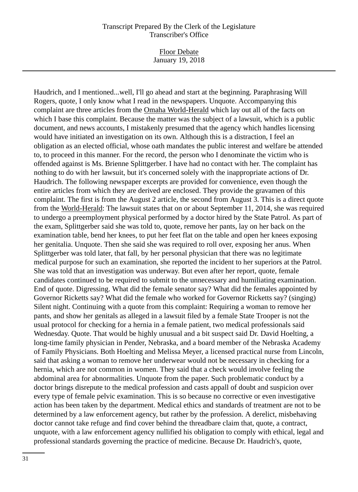Floor Debate January 19, 2018

Haudrich, and I mentioned...well, I'll go ahead and start at the beginning. Paraphrasing Will Rogers, quote, I only know what I read in the newspapers. Unquote. Accompanying this complaint are three articles from the Omaha World-Herald which lay out all of the facts on which I base this complaint. Because the matter was the subject of a lawsuit, which is a public document, and news accounts, I mistakenly presumed that the agency which handles licensing would have initiated an investigation on its own. Although this is a distraction, I feel an obligation as an elected official, whose oath mandates the public interest and welfare be attended to, to proceed in this manner. For the record, the person who I denominate the victim who is offended against is Ms. Brienne Splittgerber. I have had no contact with her. The complaint has nothing to do with her lawsuit, but it's concerned solely with the inappropriate actions of Dr. Haudrich. The following newspaper excerpts are provided for convenience, even though the entire articles from which they are derived are enclosed. They provide the gravamen of this complaint. The first is from the August 2 article, the second from August 3. This is a direct quote from the World-Herald: The lawsuit states that on or about September 11, 2014, she was required to undergo a preemployment physical performed by a doctor hired by the State Patrol. As part of the exam, Splittgerber said she was told to, quote, remove her pants, lay on her back on the examination table, bend her knees, to put her feet flat on the table and open her knees exposing her genitalia. Unquote. Then she said she was required to roll over, exposing her anus. When Splittgerber was told later, that fall, by her personal physician that there was no legitimate medical purpose for such an examination, she reported the incident to her superiors at the Patrol. She was told that an investigation was underway. But even after her report, quote, female candidates continued to be required to submit to the unnecessary and humiliating examination. End of quote. Digressing. What did the female senator say? What did the females appointed by Governor Ricketts say? What did the female who worked for Governor Ricketts say? (singing) Silent night. Continuing with a quote from this complaint: Requiring a woman to remove her pants, and show her genitals as alleged in a lawsuit filed by a female State Trooper is not the usual protocol for checking for a hernia in a female patient, two medical professionals said Wednesday. Quote. That would be highly unusual and a bit suspect said Dr. David Hoelting, a long-time family physician in Pender, Nebraska, and a board member of the Nebraska Academy of Family Physicians. Both Hoelting and Melissa Meyer, a licensed practical nurse from Lincoln, said that asking a woman to remove her underwear would not be necessary in checking for a hernia, which are not common in women. They said that a check would involve feeling the abdominal area for abnormalities. Unquote from the paper. Such problematic conduct by a doctor brings disrepute to the medical profession and casts appall of doubt and suspicion over every type of female pelvic examination. This is so because no corrective or even investigative action has been taken by the department. Medical ethics and standards of treatment are not to be determined by a law enforcement agency, but rather by the profession. A derelict, misbehaving doctor cannot take refuge and find cover behind the threadbare claim that, quote, a contract, unquote, with a law enforcement agency nullified his obligation to comply with ethical, legal and professional standards governing the practice of medicine. Because Dr. Haudrich's, quote,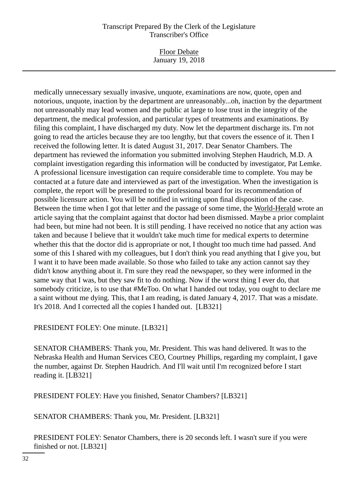#### Floor Debate January 19, 2018

medically unnecessary sexually invasive, unquote, examinations are now, quote, open and notorious, unquote, inaction by the department are unreasonably...oh, inaction by the department not unreasonably may lead women and the public at large to lose trust in the integrity of the department, the medical profession, and particular types of treatments and examinations. By filing this complaint, I have discharged my duty. Now let the department discharge its. I'm not going to read the articles because they are too lengthy, but that covers the essence of it. Then I received the following letter. It is dated August 31, 2017. Dear Senator Chambers. The department has reviewed the information you submitted involving Stephen Haudrich, M.D. A complaint investigation regarding this information will be conducted by investigator, Pat Lemke. A professional licensure investigation can require considerable time to complete. You may be contacted at a future date and interviewed as part of the investigation. When the investigation is complete, the report will be presented to the professional board for its recommendation of possible licensure action. You will be notified in writing upon final disposition of the case. Between the time when I got that letter and the passage of some time, the World-Herald wrote an article saying that the complaint against that doctor had been dismissed. Maybe a prior complaint had been, but mine had not been. It is still pending. I have received no notice that any action was taken and because I believe that it wouldn't take much time for medical experts to determine whether this that the doctor did is appropriate or not, I thought too much time had passed. And some of this I shared with my colleagues, but I don't think you read anything that I give you, but I want it to have been made available. So those who failed to take any action cannot say they didn't know anything about it. I'm sure they read the newspaper, so they were informed in the same way that I was, but they saw fit to do nothing. Now if the worst thing I ever do, that somebody criticize, is to use that #MeToo. On what I handed out today, you ought to declare me a saint without me dying. This, that I am reading, is dated January 4, 2017. That was a misdate. It's 2018. And I corrected all the copies I handed out. [LB321]

## PRESIDENT FOLEY: One minute. [LB321]

SENATOR CHAMBERS: Thank you, Mr. President. This was hand delivered. It was to the Nebraska Health and Human Services CEO, Courtney Phillips, regarding my complaint, I gave the number, against Dr. Stephen Haudrich. And I'll wait until I'm recognized before I start reading it. [LB321]

PRESIDENT FOLEY: Have you finished, Senator Chambers? [LB321]

SENATOR CHAMBERS: Thank you, Mr. President. [LB321]

PRESIDENT FOLEY: Senator Chambers, there is 20 seconds left. I wasn't sure if you were finished or not. [LB321]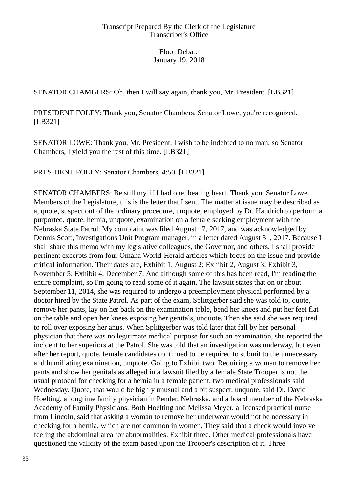SENATOR CHAMBERS: Oh, then I will say again, thank you, Mr. President. [LB321]

PRESIDENT FOLEY: Thank you, Senator Chambers. Senator Lowe, you're recognized. [LB321]

SENATOR LOWE: Thank you, Mr. President. I wish to be indebted to no man, so Senator Chambers, I yield you the rest of this time. [LB321]

PRESIDENT FOLEY: Senator Chambers, 4:50. [LB321]

SENATOR CHAMBERS: Be still my, if I had one, beating heart. Thank you, Senator Lowe. Members of the Legislature, this is the letter that I sent. The matter at issue may be described as a, quote, suspect out of the ordinary procedure, unquote, employed by Dr. Haudrich to perform a purported, quote, hernia, unquote, examination on a female seeking employment with the Nebraska State Patrol. My complaint was filed August 17, 2017, and was acknowledged by Dennis Scott, Investigations Unit Program manager, in a letter dated August 31, 2017. Because I shall share this memo with my legislative colleagues, the Governor, and others, I shall provide pertinent excerpts from four Omaha World-Herald articles which focus on the issue and provide critical information. Their dates are, Exhibit 1, August 2; Exhibit 2, August 3; Exhibit 3, November 5; Exhibit 4, December 7. And although some of this has been read, I'm reading the entire complaint, so I'm going to read some of it again. The lawsuit states that on or about September 11, 2014, she was required to undergo a preemployment physical performed by a doctor hired by the State Patrol. As part of the exam, Splittgerber said she was told to, quote, remove her pants, lay on her back on the examination table, bend her knees and put her feet flat on the table and open her knees exposing her genitals, unquote. Then she said she was required to roll over exposing her anus. When Splittgerber was told later that fall by her personal physician that there was no legitimate medical purpose for such an examination, she reported the incident to her superiors at the Patrol. She was told that an investigation was underway, but even after her report, quote, female candidates continued to be required to submit to the unnecessary and humiliating examination, unquote. Going to Exhibit two. Requiring a woman to remove her pants and show her genitals as alleged in a lawsuit filed by a female State Trooper is not the usual protocol for checking for a hernia in a female patient, two medical professionals said Wednesday. Quote, that would be highly unusual and a bit suspect, unquote, said Dr. David Hoelting, a longtime family physician in Pender, Nebraska, and a board member of the Nebraska Academy of Family Physicians. Both Hoelting and Melissa Meyer, a licensed practical nurse from Lincoln, said that asking a woman to remove her underwear would not be necessary in checking for a hernia, which are not common in women. They said that a check would involve feeling the abdominal area for abnormalities. Exhibit three. Other medical professionals have questioned the validity of the exam based upon the Trooper's description of it. Three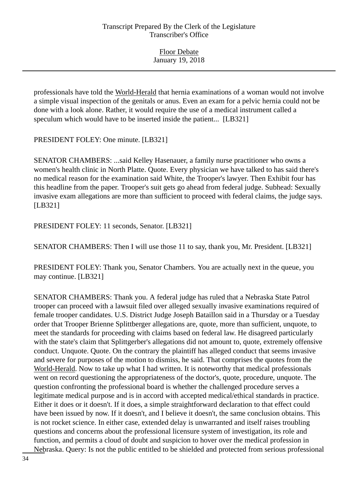| <b>Floor Debate</b> |  |
|---------------------|--|
| January 19, 2018    |  |

professionals have told the World-Herald that hernia examinations of a woman would not involve a simple visual inspection of the genitals or anus. Even an exam for a pelvic hernia could not be done with a look alone. Rather, it would require the use of a medical instrument called a speculum which would have to be inserted inside the patient... [LB321]

PRESIDENT FOLEY: One minute. [LB321]

SENATOR CHAMBERS: ...said Kelley Hasenauer, a family nurse practitioner who owns a women's health clinic in North Platte. Quote. Every physician we have talked to has said there's no medical reason for the examination said White, the Trooper's lawyer. Then Exhibit four has this headline from the paper. Trooper's suit gets go ahead from federal judge. Subhead: Sexually invasive exam allegations are more than sufficient to proceed with federal claims, the judge says. [LB321]

PRESIDENT FOLEY: 11 seconds, Senator. [LB321]

SENATOR CHAMBERS: Then I will use those 11 to say, thank you, Mr. President. [LB321]

PRESIDENT FOLEY: Thank you, Senator Chambers. You are actually next in the queue, you may continue. [LB321]

SENATOR CHAMBERS: Thank you. A federal judge has ruled that a Nebraska State Patrol trooper can proceed with a lawsuit filed over alleged sexually invasive examinations required of female trooper candidates. U.S. District Judge Joseph Bataillon said in a Thursday or a Tuesday order that Trooper Brienne Splittberger allegations are, quote, more than sufficient, unquote, to meet the standards for proceeding with claims based on federal law. He disagreed particularly with the state's claim that Splittgerber's allegations did not amount to, quote, extremely offensive conduct. Unquote. Quote. On the contrary the plaintiff has alleged conduct that seems invasive and severe for purposes of the motion to dismiss, he said. That comprises the quotes from the World-Herald. Now to take up what I had written. It is noteworthy that medical professionals went on record questioning the appropriateness of the doctor's, quote, procedure, unquote. The question confronting the professional board is whether the challenged procedure serves a legitimate medical purpose and is in accord with accepted medical/ethical standards in practice. Either it does or it doesn't. If it does, a simple straightforward declaration to that effect could have been issued by now. If it doesn't, and I believe it doesn't, the same conclusion obtains. This is not rocket science. In either case, extended delay is unwarranted and itself raises troubling questions and concerns about the professional licensure system of investigation, its role and function, and permits a cloud of doubt and suspicion to hover over the medical profession in Nebraska. Query: Is not the public entitled to be shielded and protected from serious professional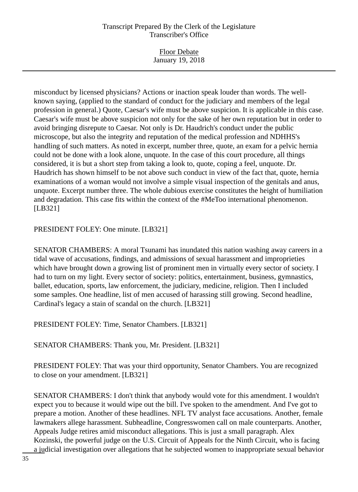Floor Debate January 19, 2018

misconduct by licensed physicians? Actions or inaction speak louder than words. The wellknown saying, (applied to the standard of conduct for the judiciary and members of the legal profession in general.) Quote, Caesar's wife must be above suspicion. It is applicable in this case. Caesar's wife must be above suspicion not only for the sake of her own reputation but in order to avoid bringing disrepute to Caesar. Not only is Dr. Haudrich's conduct under the public microscope, but also the integrity and reputation of the medical profession and NDHHS's handling of such matters. As noted in excerpt, number three, quote, an exam for a pelvic hernia could not be done with a look alone, unquote. In the case of this court procedure, all things considered, it is but a short step from taking a look to, quote, coping a feel, unquote. Dr. Haudrich has shown himself to be not above such conduct in view of the fact that, quote, hernia examinations of a woman would not involve a simple visual inspection of the genitals and anus, unquote. Excerpt number three. The whole dubious exercise constitutes the height of humiliation and degradation. This case fits within the context of the #MeToo international phenomenon. [LB321]

PRESIDENT FOLEY: One minute. [LB321]

SENATOR CHAMBERS: A moral Tsunami has inundated this nation washing away careers in a tidal wave of accusations, findings, and admissions of sexual harassment and improprieties which have brought down a growing list of prominent men in virtually every sector of society. I had to turn on my light. Every sector of society: politics, entertainment, business, gymnastics, ballet, education, sports, law enforcement, the judiciary, medicine, religion. Then I included some samples. One headline, list of men accused of harassing still growing. Second headline, Cardinal's legacy a stain of scandal on the church. [LB321]

PRESIDENT FOLEY: Time, Senator Chambers. [LB321]

SENATOR CHAMBERS: Thank you, Mr. President. [LB321]

PRESIDENT FOLEY: That was your third opportunity, Senator Chambers. You are recognized to close on your amendment. [LB321]

SENATOR CHAMBERS: I don't think that anybody would vote for this amendment. I wouldn't expect you to because it would wipe out the bill. I've spoken to the amendment. And I've got to prepare a motion. Another of these headlines. NFL TV analyst face accusations. Another, female lawmakers allege harassment. Subheadline, Congresswomen call on male counterparts. Another, Appeals Judge retires amid misconduct allegations. This is just a small paragraph. Alex Kozinski, the powerful judge on the U.S. Circuit of Appeals for the Ninth Circuit, who is facing a judicial investigation over allegations that he subjected women to inappropriate sexual behavior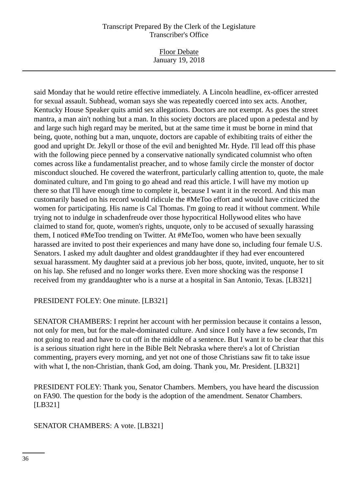Floor Debate January 19, 2018

said Monday that he would retire effective immediately. A Lincoln headline, ex-officer arrested for sexual assault. Subhead, woman says she was repeatedly coerced into sex acts. Another, Kentucky House Speaker quits amid sex allegations. Doctors are not exempt. As goes the street mantra, a man ain't nothing but a man. In this society doctors are placed upon a pedestal and by and large such high regard may be merited, but at the same time it must be borne in mind that being, quote, nothing but a man, unquote, doctors are capable of exhibiting traits of either the good and upright Dr. Jekyll or those of the evil and benighted Mr. Hyde. I'll lead off this phase with the following piece penned by a conservative nationally syndicated columnist who often comes across like a fundamentalist preacher, and to whose family circle the monster of doctor misconduct slouched. He covered the waterfront, particularly calling attention to, quote, the male dominated culture, and I'm going to go ahead and read this article. I will have my motion up there so that I'll have enough time to complete it, because I want it in the record. And this man customarily based on his record would ridicule the #MeToo effort and would have criticized the women for participating. His name is Cal Thomas. I'm going to read it without comment. While trying not to indulge in schadenfreude over those hypocritical Hollywood elites who have claimed to stand for, quote, women's rights, unquote, only to be accused of sexually harassing them, I noticed #MeToo trending on Twitter. At #MeToo, women who have been sexually harassed are invited to post their experiences and many have done so, including four female U.S. Senators. I asked my adult daughter and oldest granddaughter if they had ever encountered sexual harassment. My daughter said at a previous job her boss, quote, invited, unquote, her to sit on his lap. She refused and no longer works there. Even more shocking was the response I received from my granddaughter who is a nurse at a hospital in San Antonio, Texas. [LB321]

## PRESIDENT FOLEY: One minute. [LB321]

SENATOR CHAMBERS: I reprint her account with her permission because it contains a lesson, not only for men, but for the male-dominated culture. And since I only have a few seconds, I'm not going to read and have to cut off in the middle of a sentence. But I want it to be clear that this is a serious situation right here in the Bible Belt Nebraska where there's a lot of Christian commenting, prayers every morning, and yet not one of those Christians saw fit to take issue with what I, the non-Christian, thank God, am doing. Thank you, Mr. President. [LB321]

PRESIDENT FOLEY: Thank you, Senator Chambers. Members, you have heard the discussion on FA90. The question for the body is the adoption of the amendment. Senator Chambers. [LB321]

#### SENATOR CHAMBERS: A vote. [LB321]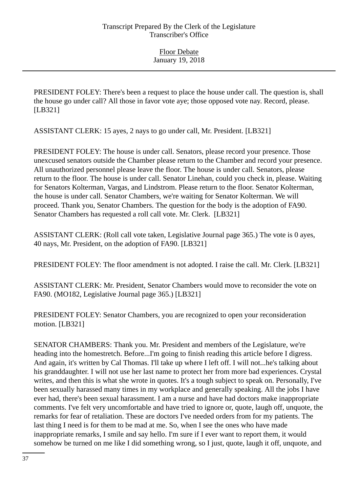PRESIDENT FOLEY: There's been a request to place the house under call. The question is, shall the house go under call? All those in favor vote aye; those opposed vote nay. Record, please. [LB321]

ASSISTANT CLERK: 15 ayes, 2 nays to go under call, Mr. President. [LB321]

PRESIDENT FOLEY: The house is under call. Senators, please record your presence. Those unexcused senators outside the Chamber please return to the Chamber and record your presence. All unauthorized personnel please leave the floor. The house is under call. Senators, please return to the floor. The house is under call. Senator Linehan, could you check in, please. Waiting for Senators Kolterman, Vargas, and Lindstrom. Please return to the floor. Senator Kolterman, the house is under call. Senator Chambers, we're waiting for Senator Kolterman. We will proceed. Thank you, Senator Chambers. The question for the body is the adoption of FA90. Senator Chambers has requested a roll call vote. Mr. Clerk. [LB321]

ASSISTANT CLERK: (Roll call vote taken, Legislative Journal page 365.) The vote is 0 ayes, 40 nays, Mr. President, on the adoption of FA90. [LB321]

PRESIDENT FOLEY: The floor amendment is not adopted. I raise the call. Mr. Clerk. [LB321]

ASSISTANT CLERK: Mr. President, Senator Chambers would move to reconsider the vote on FA90. (MO182, Legislative Journal page 365.) [LB321]

PRESIDENT FOLEY: Senator Chambers, you are recognized to open your reconsideration motion. [LB321]

SENATOR CHAMBERS: Thank you. Mr. President and members of the Legislature, we're heading into the homestretch. Before...I'm going to finish reading this article before I digress. And again, it's written by Cal Thomas. I'll take up where I left off. I will not...he's talking about his granddaughter. I will not use her last name to protect her from more bad experiences. Crystal writes, and then this is what she wrote in quotes. It's a tough subject to speak on. Personally, I've been sexually harassed many times in my workplace and generally speaking. All the jobs I have ever had, there's been sexual harassment. I am a nurse and have had doctors make inappropriate comments. I've felt very uncomfortable and have tried to ignore or, quote, laugh off, unquote, the remarks for fear of retaliation. These are doctors I've needed orders from for my patients. The last thing I need is for them to be mad at me. So, when I see the ones who have made inappropriate remarks, I smile and say hello. I'm sure if I ever want to report them, it would somehow be turned on me like I did something wrong, so I just, quote, laugh it off, unquote, and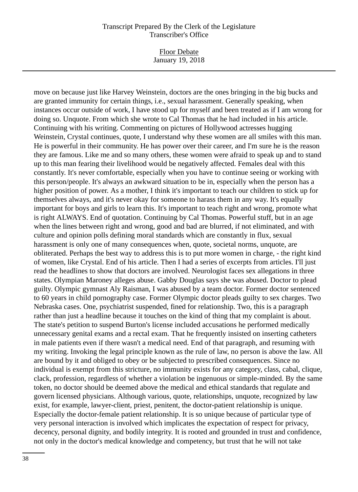Floor Debate January 19, 2018

move on because just like Harvey Weinstein, doctors are the ones bringing in the big bucks and are granted immunity for certain things, i.e., sexual harassment. Generally speaking, when instances occur outside of work, I have stood up for myself and been treated as if I am wrong for doing so. Unquote. From which she wrote to Cal Thomas that he had included in his article. Continuing with his writing. Commenting on pictures of Hollywood actresses hugging Weinstein, Crystal continues, quote, I understand why these women are all smiles with this man. He is powerful in their community. He has power over their career, and I'm sure he is the reason they are famous. Like me and so many others, these women were afraid to speak up and to stand up to this man fearing their livelihood would be negatively affected. Females deal with this constantly. It's never comfortable, especially when you have to continue seeing or working with this person/people. It's always an awkward situation to be in, especially when the person has a higher position of power. As a mother, I think it's important to teach our children to stick up for themselves always, and it's never okay for someone to harass them in any way. It's equally important for boys and girls to learn this. It's important to teach right and wrong, promote what is right ALWAYS. End of quotation. Continuing by Cal Thomas. Powerful stuff, but in an age when the lines between right and wrong, good and bad are blurred, if not eliminated, and with culture and opinion polls defining moral standards which are constantly in flux, sexual harassment is only one of many consequences when, quote, societal norms, unquote, are obliterated. Perhaps the best way to address this is to put more women in charge, - the right kind of women, like Crystal. End of his article. Then I had a series of excerpts from articles. I'll just read the headlines to show that doctors are involved. Neurologist faces sex allegations in three states. Olympian Maroney alleges abuse. Gabby Douglas says she was abused. Doctor to plead guilty. Olympic gymnast Aly Raisman, I was abused by a team doctor. Former doctor sentenced to 60 years in child pornography case. Former Olympic doctor pleads guilty to sex charges. Two Nebraska cases. One, psychiatrist suspended, fined for relationship. Two, this is a paragraph rather than just a headline because it touches on the kind of thing that my complaint is about. The state's petition to suspend Burton's license included accusations he performed medically unnecessary genital exams and a rectal exam. That he frequently insisted on inserting catheters in male patients even if there wasn't a medical need. End of that paragraph, and resuming with my writing. Invoking the legal principle known as the rule of law, no person is above the law. All are bound by it and obliged to obey or be subjected to prescribed consequences. Since no individual is exempt from this stricture, no immunity exists for any category, class, cabal, clique, clack, profession, regardless of whether a violation be ingenuous or simple-minded. By the same token, no doctor should be deemed above the medical and ethical standards that regulate and govern licensed physicians. Although various, quote, relationships, unquote, recognized by law exist, for example, lawyer-client, priest, penitent, the doctor-patient relationship is unique. Especially the doctor-female patient relationship. It is so unique because of particular type of very personal interaction is involved which implicates the expectation of respect for privacy, decency, personal dignity, and bodily integrity. It is rooted and grounded in trust and confidence, not only in the doctor's medical knowledge and competency, but trust that he will not take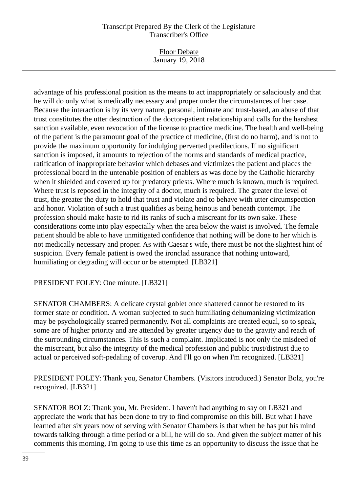Floor Debate January 19, 2018

advantage of his professional position as the means to act inappropriately or salaciously and that he will do only what is medically necessary and proper under the circumstances of her case. Because the interaction is by its very nature, personal, intimate and trust-based, an abuse of that trust constitutes the utter destruction of the doctor-patient relationship and calls for the harshest sanction available, even revocation of the license to practice medicine. The health and well-being of the patient is the paramount goal of the practice of medicine, (first do no harm), and is not to provide the maximum opportunity for indulging perverted predilections. If no significant sanction is imposed, it amounts to rejection of the norms and standards of medical practice, ratification of inappropriate behavior which debases and victimizes the patient and places the professional board in the untenable position of enablers as was done by the Catholic hierarchy when it shielded and covered up for predatory priests. Where much is known, much is required. Where trust is reposed in the integrity of a doctor, much is required. The greater the level of trust, the greater the duty to hold that trust and violate and to behave with utter circumspection and honor. Violation of such a trust qualifies as being heinous and beneath contempt. The profession should make haste to rid its ranks of such a miscreant for its own sake. These considerations come into play especially when the area below the waist is involved. The female patient should be able to have unmitigated confidence that nothing will be done to her which is not medically necessary and proper. As with Caesar's wife, there must be not the slightest hint of suspicion. Every female patient is owed the ironclad assurance that nothing untoward, humiliating or degrading will occur or be attempted. [LB321]

## PRESIDENT FOLEY: One minute. [LB321]

SENATOR CHAMBERS: A delicate crystal goblet once shattered cannot be restored to its former state or condition. A woman subjected to such humiliating dehumanizing victimization may be psychologically scarred permanently. Not all complaints are created equal, so to speak, some are of higher priority and are attended by greater urgency due to the gravity and reach of the surrounding circumstances. This is such a complaint. Implicated is not only the misdeed of the miscreant, but also the integrity of the medical profession and public trust/distrust due to actual or perceived soft-pedaling of coverup. And I'll go on when I'm recognized. [LB321]

PRESIDENT FOLEY: Thank you, Senator Chambers. (Visitors introduced.) Senator Bolz, you're recognized. [LB321]

SENATOR BOLZ: Thank you, Mr. President. I haven't had anything to say on LB321 and appreciate the work that has been done to try to find compromise on this bill. But what I have learned after six years now of serving with Senator Chambers is that when he has put his mind towards talking through a time period or a bill, he will do so. And given the subject matter of his comments this morning, I'm going to use this time as an opportunity to discuss the issue that he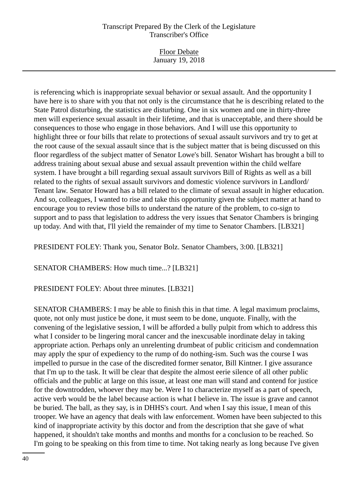Floor Debate January 19, 2018

is referencing which is inappropriate sexual behavior or sexual assault. And the opportunity I have here is to share with you that not only is the circumstance that he is describing related to the State Patrol disturbing, the statistics are disturbing. One in six women and one in thirty-three men will experience sexual assault in their lifetime, and that is unacceptable, and there should be consequences to those who engage in those behaviors. And I will use this opportunity to highlight three or four bills that relate to protections of sexual assault survivors and try to get at the root cause of the sexual assault since that is the subject matter that is being discussed on this floor regardless of the subject matter of Senator Lowe's bill. Senator Wishart has brought a bill to address training about sexual abuse and sexual assault prevention within the child welfare system. I have brought a bill regarding sexual assault survivors Bill of Rights as well as a bill related to the rights of sexual assault survivors and domestic violence survivors in Landlord/ Tenant law. Senator Howard has a bill related to the climate of sexual assault in higher education. And so, colleagues, I wanted to rise and take this opportunity given the subject matter at hand to encourage you to review those bills to understand the nature of the problem, to co-sign to support and to pass that legislation to address the very issues that Senator Chambers is bringing up today. And with that, I'll yield the remainder of my time to Senator Chambers. [LB321]

PRESIDENT FOLEY: Thank you, Senator Bolz. Senator Chambers, 3:00. [LB321]

SENATOR CHAMBERS: How much time...? [LB321]

PRESIDENT FOLEY: About three minutes. [LB321]

SENATOR CHAMBERS: I may be able to finish this in that time. A legal maximum proclaims, quote, not only must justice be done, it must seem to be done, unquote. Finally, with the convening of the legislative session, I will be afforded a bully pulpit from which to address this what I consider to be lingering moral cancer and the inexcusable inordinate delay in taking appropriate action. Perhaps only an unrelenting drumbeat of public criticism and condemnation may apply the spur of expediency to the rump of do nothing-ism. Such was the course I was impelled to pursue in the case of the discredited former senator, Bill Kintner. I give assurance that I'm up to the task. It will be clear that despite the almost eerie silence of all other public officials and the public at large on this issue, at least one man will stand and contend for justice for the downtrodden, whoever they may be. Were I to characterize myself as a part of speech, active verb would be the label because action is what I believe in. The issue is grave and cannot be buried. The ball, as they say, is in DHHS's court. And when I say this issue, I mean of this trooper. We have an agency that deals with law enforcement. Women have been subjected to this kind of inappropriate activity by this doctor and from the description that she gave of what happened, it shouldn't take months and months and months for a conclusion to be reached. So I'm going to be speaking on this from time to time. Not taking nearly as long because I've given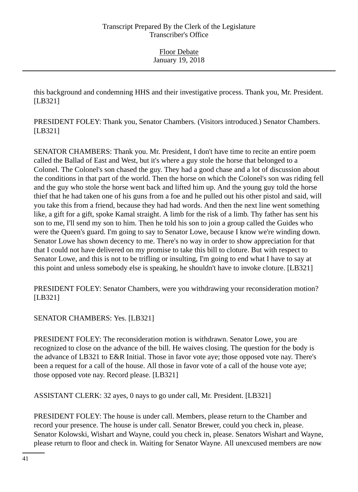this background and condemning HHS and their investigative process. Thank you, Mr. President. [LB321]

PRESIDENT FOLEY: Thank you, Senator Chambers. (Visitors introduced.) Senator Chambers. [LB321]

SENATOR CHAMBERS: Thank you. Mr. President, I don't have time to recite an entire poem called the Ballad of East and West, but it's where a guy stole the horse that belonged to a Colonel. The Colonel's son chased the guy. They had a good chase and a lot of discussion about the conditions in that part of the world. Then the horse on which the Colonel's son was riding fell and the guy who stole the horse went back and lifted him up. And the young guy told the horse thief that he had taken one of his guns from a foe and he pulled out his other pistol and said, will you take this from a friend, because they had had words. And then the next line went something like, a gift for a gift, spoke Kamal straight. A limb for the risk of a limb. Thy father has sent his son to me, I'll send my son to him. Then he told his son to join a group called the Guides who were the Queen's guard. I'm going to say to Senator Lowe, because I know we're winding down. Senator Lowe has shown decency to me. There's no way in order to show appreciation for that that I could not have delivered on my promise to take this bill to cloture. But with respect to Senator Lowe, and this is not to be trifling or insulting, I'm going to end what I have to say at this point and unless somebody else is speaking, he shouldn't have to invoke cloture. [LB321]

PRESIDENT FOLEY: Senator Chambers, were you withdrawing your reconsideration motion? [LB321]

# SENATOR CHAMBERS: Yes. [LB321]

PRESIDENT FOLEY: The reconsideration motion is withdrawn. Senator Lowe, you are recognized to close on the advance of the bill. He waives closing. The question for the body is the advance of LB321 to E&R Initial. Those in favor vote aye; those opposed vote nay. There's been a request for a call of the house. All those in favor vote of a call of the house vote aye; those opposed vote nay. Record please. [LB321]

ASSISTANT CLERK: 32 ayes, 0 nays to go under call, Mr. President. [LB321]

PRESIDENT FOLEY: The house is under call. Members, please return to the Chamber and record your presence. The house is under call. Senator Brewer, could you check in, please. Senator Kolowski, Wishart and Wayne, could you check in, please. Senators Wishart and Wayne, please return to floor and check in. Waiting for Senator Wayne. All unexcused members are now